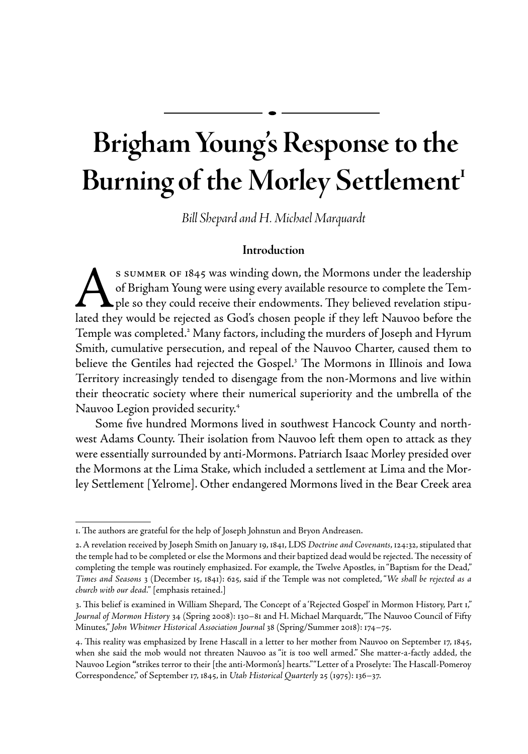# **Brigham Young's Response to the**  Burning of the Morley Settlement<sup>1</sup>

*Bill Shepard and H. Michael Marquardt*

# **Introduction**

S SUMMER OF 1845 was winding down, the Mormons under the leadership<br>of Brigham Young were using every available resource to complete the Tem-<br>lated they would be rejected as God's chosen people if they left Nauvoo before t of Brigham Young were using every available resource to complete the Tem- $\blacktriangle$  ple so they could receive their endowments. They believed revelation stipulated they would be rejected as God's chosen people if they left Nauvoo before the Temple was completed.<sup>2</sup> Many factors, including the murders of Joseph and Hyrum Smith, cumulative persecution, and repeal of the Nauvoo Charter, caused them to believe the Gentiles had rejected the Gospel.<sup>3</sup> The Mormons in Illinois and Iowa Territory increasingly tended to disengage from the non-Mormons and live within their theocratic society where their numerical superiority and the umbrella of the Nauvoo Legion provided security.4

Some five hundred Mormons lived in southwest Hancock County and northwest Adams County. Their isolation from Nauvoo left them open to attack as they were essentially surrounded by anti-Mormons. Patriarch Isaac Morley presided over the Mormons at the Lima Stake, which included a settlement at Lima and the Morley Settlement [Yelrome]. Other endangered Mormons lived in the Bear Creek area

<sup>1.</sup> The authors are grateful for the help of Joseph Johnstun and Bryon Andreasen.

<sup>2.</sup> A revelation received by Joseph Smith on January 19, 1841, LDS *Doctrine and Covenants*, 124:32, stipulated that the temple had to be completed or else the Mormons and their baptized dead would be rejected. The necessity of completing the temple was routinely emphasized. For example, the Twelve Apostles, in "Baptism for the Dead," *Times and Seasons* 3 (December 15, 1841): 625, said if the Temple was not completed, "*We shall be rejected as a church with our dead."* [emphasis retained.]

<sup>3.</sup> This belief is examined in William Shepard, The Concept of a 'Rejected Gospel' in Mormon History, Part 1," *Journal of Mormon History* 34 (Spring 2008): 130–81 and H. Michael Marquardt, "The Nauvoo Council of Fifty Minutes," *John Whitmer Historical Association Journal* 38 (Spring/Summer 2018): 174–75.

<sup>4.</sup> This reality was emphasized by Irene Hascall in a letter to her mother from Nauvoo on September 17, 1845, when she said the mob would not threaten Nauvoo as "it is too well armed." She matter-a-factly added, the Nauvoo Legion **"**strikes terror to their [the anti-Mormon's] hearts." "Letter of a Proselyte: The Hascall-Pomeroy Correspondence," of September 17, 1845, in *Utah Historical Quarterly* 25 (1975): 136–37.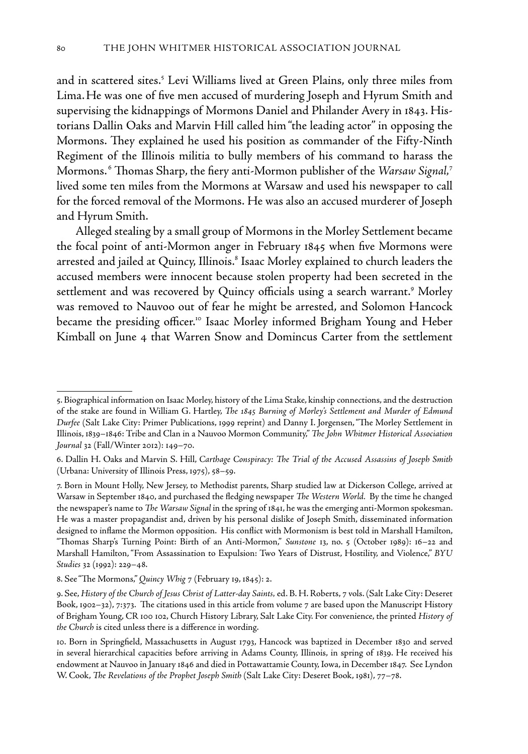and in scattered sites.<sup>5</sup> Levi Williams lived at Green Plains, only three miles from Lima.He was one of five men accused of murdering Joseph and Hyrum Smith and supervising the kidnappings of Mormons Daniel and Philander Avery in 1843. Historians Dallin Oaks and Marvin Hill called him "the leading actor" in opposing the Mormons. They explained he used his position as commander of the Fifty-Ninth Regiment of the Illinois militia to bully members of his command to harass the Mormons. 6 Thomas Sharp, the fiery anti-Mormon publisher of the *Warsaw Signal,*<sup>7</sup> lived some ten miles from the Mormons at Warsaw and used his newspaper to call for the forced removal of the Mormons. He was also an accused murderer of Joseph and Hyrum Smith.

Alleged stealing by a small group of Mormons in the Morley Settlement became the focal point of anti-Mormon anger in February 1845 when five Mormons were arrested and jailed at Quincy, Illinois.<sup>8</sup> Isaac Morley explained to church leaders the accused members were innocent because stolen property had been secreted in the settlement and was recovered by Quincy officials using a search warrant.<sup>9</sup> Morley was removed to Nauvoo out of fear he might be arrested, and Solomon Hancock became the presiding officer.10 Isaac Morley informed Brigham Young and Heber Kimball on June 4 that Warren Snow and Domincus Carter from the settlement

<sup>5.</sup> Biographical information on Isaac Morley, history of the Lima Stake, kinship connections, and the destruction of the stake are found in William G. Hartley, *The 1845 Burning of Morley's Settlement and Murder of Edmund Durfee* (Salt Lake City: Primer Publications, 1999 reprint) and Danny I. Jorgensen, "The Morley Settlement in Illinois, 1839–1846: Tribe and Clan in a Nauvoo Mormon Community," *The John Whitmer Historical Association Journal* 32 (Fall/Winter 2012): 149–70.

<sup>6.</sup> Dallin H. Oaks and Marvin S. Hill, *Carthage Conspiracy: The Trial of the Accused Assassins of Joseph Smith*  (Urbana: University of Illinois Press, 1975), 58–59.

<sup>7.</sup> Born in Mount Holly, New Jersey, to Methodist parents, Sharp studied law at Dickerson College, arrived at Warsaw in September 1840, and purchased the fledging newspaper *The Western World.* By the time he changed the newspaper's name to *The Warsaw Signal* in the spring of 1841, he was the emerging anti-Mormon spokesman. He was a master propagandist and, driven by his personal dislike of Joseph Smith, disseminated information designed to inflame the Mormon opposition. His conflict with Mormonism is best told in Marshall Hamilton, "Thomas Sharp's Turning Point: Birth of an Anti-Mormon," *Sunstone* 13, no. 5 (October 1989): 16–22 and Marshall Hamilton, "From Assassination to Expulsion: Two Years of Distrust, Hostility, and Violence," *BYU Studies* 32 (1992): 229–48.

<sup>8.</sup> See "The Mormons," *Quincy Whig* 7 (February 19, 1845): 2.

<sup>9.</sup> See, *History of the Church of Jesus Christ of Latter-day Saints,* ed. B. H. Roberts, 7 vols. (Salt Lake City: Deseret Book, 1902–32), 7:373. The citations used in this article from volume 7 are based upon the Manuscript History of Brigham Young, CR 100 102, Church History Library, Salt Lake City. For convenience, the printed *History of the Church* is cited unless there is a difference in wording.

<sup>10.</sup> Born in Springfield, Massachusetts in August 1793, Hancock was baptized in December 1830 and served in several hierarchical capacities before arriving in Adams County, Illinois, in spring of 1839. He received his endowment at Nauvoo in January 1846 and died in Pottawattamie County, Iowa, in December 1847. See Lyndon W. Cook, *The Revelations of the Prophet Joseph Smith* (Salt Lake City: Deseret Book, 1981), 77–78.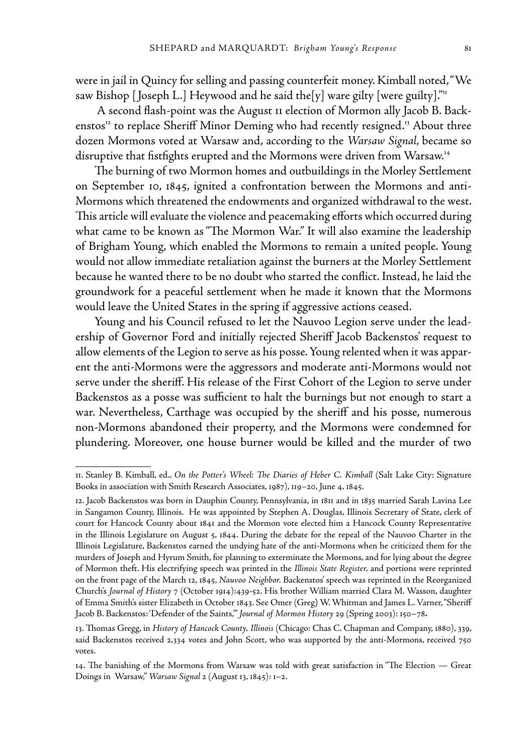were in jail in Quincy for selling and passing counterfeit money. Kimball noted, "We saw Bishop [Joseph L.] Heywood and he said the[y] ware gilty [were guilty].""

 A second flash-point was the August 11 election of Mormon ally Jacob B. Backenstos<sup>12</sup> to replace Sheriff Minor Deming who had recently resigned.<sup>13</sup> About three dozen Mormons voted at Warsaw and, according to the *Warsaw Signal*, became so disruptive that fistfights erupted and the Mormons were driven from Warsaw.<sup>14</sup>

The burning of two Mormon homes and outbuildings in the Morley Settlement on September 10, 1845, ignited a confrontation between the Mormons and anti-Mormons which threatened the endowments and organized withdrawal to the west. This article will evaluate the violence and peacemaking efforts which occurred during what came to be known as "The Mormon War." It will also examine the leadership of Brigham Young, which enabled the Mormons to remain a united people. Young would not allow immediate retaliation against the burners at the Morley Settlement because he wanted there to be no doubt who started the conflict. Instead, he laid the groundwork for a peaceful settlement when he made it known that the Mormons would leave the United States in the spring if aggressive actions ceased.

Young and his Council refused to let the Nauvoo Legion serve under the leadership of Governor Ford and initially rejected Sheriff Jacob Backenstos' request to allow elements of the Legion to serve as his posse. Young relented when it was apparent the anti-Mormons were the aggressors and moderate anti-Mormons would not serve under the sheriff. His release of the First Cohort of the Legion to serve under Backenstos as a posse was sufficient to halt the burnings but not enough to start a war. Nevertheless, Carthage was occupied by the sheriff and his posse, numerous non-Mormons abandoned their property, and the Mormons were condemned for plundering. Moreover, one house burner would be killed and the murder of two

<sup>11.</sup> Stanley B. Kimball, ed., *On the Potter's Wheel: The Diaries of Heber C. Kimball* (Salt Lake City: Signature Books in association with Smith Research Associates, 1987), 119–20, June 4, 1845.

<sup>12.</sup> Jacob Backenstos was born in Dauphin County, Pennsylvania, in 1811 and in 1835 married Sarah Lavina Lee in Sangamon County, Illinois. He was appointed by Stephen A. Douglas, Illinois Secretary of State, clerk of court for Hancock County about 1841 and the Mormon vote elected him a Hancock County Representative in the Illinois Legislature on August 5, 1844. During the debate for the repeal of the Nauvoo Charter in the Illinois Legislature, Backenstos earned the undying hate of the anti-Mormons when he criticized them for the murders of Joseph and Hyrum Smith, for planning to exterminate the Mormons, and for lying about the degree of Mormon theft. His electrifying speech was printed in the *Illinois State Register,* and portions were reprinted on the front page of the March 12, 1845, *Nauvoo Neighbor.* Backenstos' speech was reprinted in the Reorganized Church's *Journal of History* 7 (October 1914):439-52. His brother William married Clara M. Wasson, daughter of Emma Smith's sister Elizabeth in October 1843. See Omer (Greg**)** W. Whitman and James L. Varner, "Sheriff Jacob B. Backenstos: 'Defender of the Saints,'" *Journal of Mormon History* 29 (Spring 2003): 150–78**.**

<sup>13.</sup> Thomas Gregg, in *History of Hancock County, Illinois* (Chicago: Chas C. Chapman and Company, 1880), 339, said Backenstos received 2,334 votes and John Scott, who was supported by the anti-Mormons, received 750 votes.

<sup>14.</sup> The banishing of the Mormons from Warsaw was told with great satisfaction in "The Election — Great Doings in Warsaw," *Warsaw Signal* 2 (August 13, 1845): 1–2.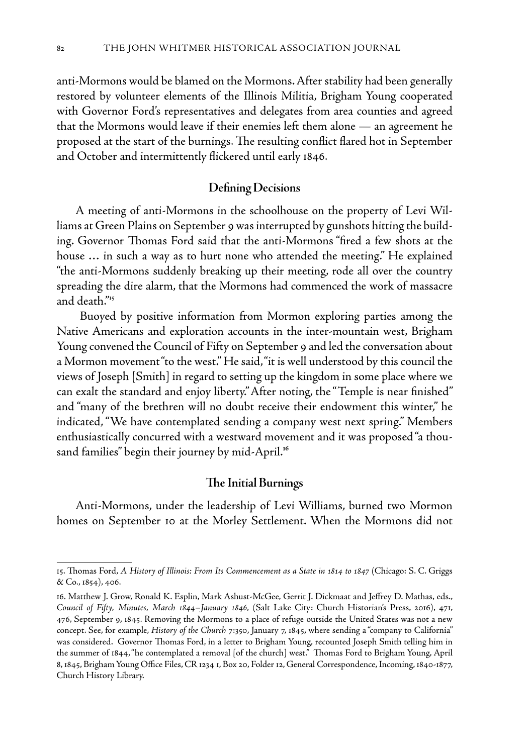anti-Mormons would be blamed on the Mormons. After stability had been generally restored by volunteer elements of the Illinois Militia, Brigham Young cooperated with Governor Ford's representatives and delegates from area counties and agreed that the Mormons would leave if their enemies left them alone — an agreement he proposed at the start of the burnings. The resulting conflict flared hot in September and October and intermittently flickered until early 1846.

# **Defining Decisions**

A meeting of anti-Mormons in the schoolhouse on the property of Levi Williams at Green Plains on September 9 was interrupted by gunshots hitting the building. Governor Thomas Ford said that the anti-Mormons "fired a few shots at the house … in such a way as to hurt none who attended the meeting." He explained "the anti-Mormons suddenly breaking up their meeting, rode all over the country spreading the dire alarm, that the Mormons had commenced the work of massacre and death."15

 Buoyed by positive information from Mormon exploring parties among the Native Americans and exploration accounts in the inter-mountain west, Brigham Young convened the Council of Fifty on September 9 and led the conversation about a Mormon movement "to the west." He said, "it is well understood by this council the views of Joseph [Smith] in regard to setting up the kingdom in some place where we can exalt the standard and enjoy liberty."After noting, the "Temple is near finished" and "many of the brethren will no doubt receive their endowment this winter," he indicated, "We have contemplated sending a company west next spring." Members enthusiastically concurred with a westward movement and it was proposed "a thousand families" begin their journey by mid-April.**<sup>16</sup>**

## **The Initial Burnings**

Anti-Mormons, under the leadership of Levi Williams, burned two Mormon homes on September 10 at the Morley Settlement. When the Mormons did not

<sup>15.</sup> Thomas Ford, *A History of Illinois: From Its Commencement as a State in 1814 to 1847* (Chicago: S. C. Griggs & Co., 1854), 406.

<sup>16.</sup> Matthew J. Grow, Ronald K. Esplin, Mark Ashust-McGee, Gerrit J. Dickmaat and Jeffrey D. Mathas, eds., *Council of Fifty, Minutes, March 1844–January 1846,* (Salt Lake City: Church Historian's Press, 2016), 471, 476, September 9, 1845. Removing the Mormons to a place of refuge outside the United States was not a new concept. See, for example, *History of the Church* 7:350, January 7, 1845, where sending a "company to California" was considered. Governor Thomas Ford, in a letter to Brigham Young, recounted Joseph Smith telling him in the summer of 1844, "he contemplated a removal [of the church] west." Thomas Ford to Brigham Young, April 8, 1845, Brigham Young Office Files, CR 1234 1, Box 20, Folder 12, General Correspondence, Incoming, 1840-1877, Church History Library.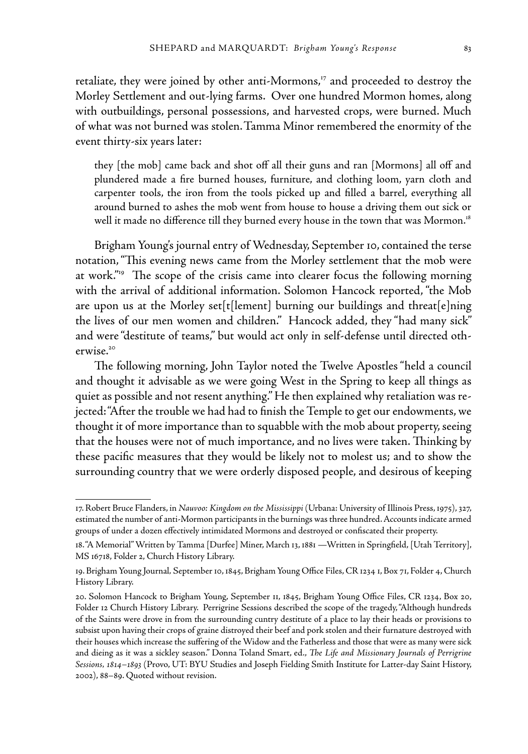retaliate, they were joined by other anti-Mormons,<sup>17</sup> and proceeded to destroy the Morley Settlement and out-lying farms. Over one hundred Mormon homes, along with outbuildings, personal possessions, and harvested crops, were burned. Much of what was not burned was stolen.Tamma Minor remembered the enormity of the event thirty-six years later:

they [the mob] came back and shot off all their guns and ran [Mormons] all off and plundered made a fire burned houses, furniture, and clothing loom, yarn cloth and carpenter tools, the iron from the tools picked up and filled a barrel, everything all around burned to ashes the mob went from house to house a driving them out sick or well it made no difference till they burned every house in the town that was Mormon.<sup>18</sup>

Brigham Young's journal entry of Wednesday, September 10, contained the terse notation, "This evening news came from the Morley settlement that the mob were at work."<sup>19</sup> The scope of the crisis came into clearer focus the following morning with the arrival of additional information. Solomon Hancock reported, "the Mob are upon us at the Morley set[t[lement] burning our buildings and threat[e]ning the lives of our men women and children." Hancock added, they "had many sick" and were "destitute of teams," but would act only in self-defense until directed otherwise.<sup>20</sup>

The following morning, John Taylor noted the Twelve Apostles "held a council and thought it advisable as we were going West in the Spring to keep all things as quiet as possible and not resent anything." He then explained why retaliation was rejected: "After the trouble we had had to finish the Temple to get our endowments, we thought it of more importance than to squabble with the mob about property, seeing that the houses were not of much importance, and no lives were taken. Thinking by these pacific measures that they would be likely not to molest us; and to show the surrounding country that we were orderly disposed people, and desirous of keeping

<sup>17.</sup> Robert Bruce Flanders, in *Nauvoo: Kingdom on the Mississippi* (Urbana: University of Illinois Press, 1975), 327, estimated the number of anti-Mormon participants in the burnings was three hundred. Accounts indicate armed groups of under a dozen effectively intimidated Mormons and destroyed or confiscated their property.

<sup>18. &</sup>quot;A Memorial" Written by Tamma [Durfee] Miner, March 13, 1881 —Written in Springfield, [Utah Territory], MS 16718, Folder 2, Church History Library.

<sup>19.</sup> Brigham Young Journal*,* September 10, 1845, Brigham Young Office Files, CR 1234 1, Box 71, Folder 4, Church History Library.

<sup>20.</sup> Solomon Hancock to Brigham Young, September 11, 1845, Brigham Young Office Files, CR 1234, Box 20, Folder 12 Church History Library. Perrigrine Sessions described the scope of the tragedy, "Although hundreds of the Saints were drove in from the surrounding cuntry destitute of a place to lay their heads or provisions to subsist upon having their crops of graine distroyed their beef and pork stolen and their furnature destroyed with their houses which increase the suffering of the Widow and the Fatherless and those that were as many were sick and dieing as it was a sickley season." Donna Toland Smart, ed., *The Life and Missionary Journals of Perrigrine Sessions, 1814–1893* (Provo, UT: BYU Studies and Joseph Fielding Smith Institute for Latter-day Saint History, 2002), 88–89. Quoted without revision.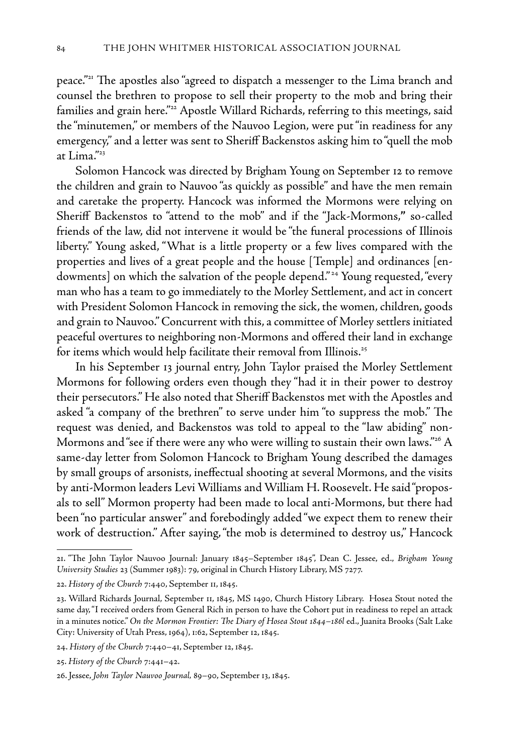peace."21 The apostles also "agreed to dispatch a messenger to the Lima branch and counsel the brethren to propose to sell their property to the mob and bring their families and grain here."<sup>22</sup> Apostle Willard Richards, referring to this meetings, said the "minutemen," or members of the Nauvoo Legion, were put "in readiness for any emergency," and a letter was sent to Sheriff Backenstos asking him to "quell the mob at Lima."<sup>23</sup>

Solomon Hancock was directed by Brigham Young on September 12 to remove the children and grain to Nauvoo "as quickly as possible" and have the men remain and caretake the property. Hancock was informed the Mormons were relying on Sheriff Backenstos to "attend to the mob" and if the "Jack-Mormons,**"** so-called friends of the law, did not intervene it would be "the funeral processions of Illinois liberty." Young asked, "What is a little property or a few lives compared with the properties and lives of a great people and the house [Temple] and ordinances [endowments] on which the salvation of the people depend."<sup>24</sup> Young requested, "every man who has a team to go immediately to the Morley Settlement, and act in concert with President Solomon Hancock in removing the sick, the women, children, goods and grain to Nauvoo." Concurrent with this, a committee of Morley settlers initiated peaceful overtures to neighboring non-Mormons and offered their land in exchange for items which would help facilitate their removal from Illinois.<sup>25</sup>

In his September 13 journal entry, John Taylor praised the Morley Settlement Mormons for following orders even though they "had it in their power to destroy their persecutors." He also noted that Sheriff Backenstos met with the Apostles and asked "a company of the brethren" to serve under him "to suppress the mob." The request was denied, and Backenstos was told to appeal to the "law abiding" non-Mormons and "see if there were any who were willing to sustain their own laws."<sup>26</sup> A same-day letter from Solomon Hancock to Brigham Young described the damages by small groups of arsonists, ineffectual shooting at several Mormons, and the visits by anti-Mormon leaders Levi Williams and William H. Roosevelt. He said "proposals to sell" Mormon property had been made to local anti-Mormons, but there had been "no particular answer" and forebodingly added "we expect them to renew their work of destruction." After saying, "the mob is determined to destroy us," Hancock

<sup>21. &</sup>quot;The John Taylor Nauvoo Journal: January 1845–September 1845", Dean C. Jessee, ed., *Brigham Young University Studies* 23 (Summer 1983): 79, original in Church History Library, MS 7277.

<sup>22.</sup> *History of the Church* 7:440, September 11, 1845.

<sup>23.</sup> Willard Richards Journal, September 11, 1845, MS 1490, Church History Library. Hosea Stout noted the same day, "I received orders from General Rich in person to have the Cohort put in readiness to repel an attack in a minutes notice." On the Mormon Frontier: The Diary of Hosea Stout 1844–186l ed., Juanita Brooks (Salt Lake City: University of Utah Press, 1964), 1:62, September 12, 1845.

<sup>24.</sup> *History of the Church* 7:440–41, September 12, 1845.

<sup>25.</sup> *History of the Church* 7:441–42.

<sup>26.</sup> Jessee, *John Taylor Nauvoo Journal,* 89–90, September 13, 1845.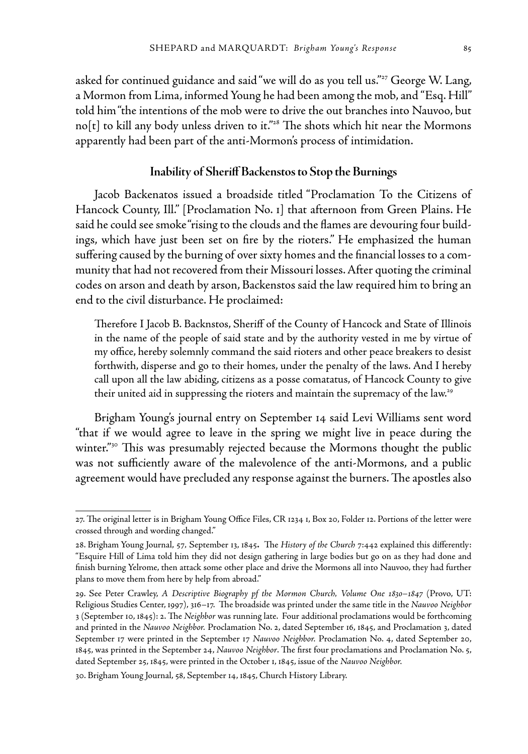asked for continued guidance and said "we will do as you tell us."<sup>27</sup> George W. Lang, a Mormon from Lima, informed Young he had been among the mob, and "Esq. Hill" told him "the intentions of the mob were to drive the out branches into Nauvoo, but no $[t]$  to kill any body unless driven to it."<sup>28</sup> The shots which hit near the Mormons apparently had been part of the anti-Mormon's process of intimidation.

#### **Inability of Sheriff Backenstos to Stop the Burnings**

Jacob Backenatos issued a broadside titled "Proclamation To the Citizens of Hancock County, Ill." [Proclamation No. 1] that afternoon from Green Plains. He said he could see smoke "rising to the clouds and the flames are devouring four buildings, which have just been set on fire by the rioters." He emphasized the human suffering caused by the burning of over sixty homes and the financial losses to a community that had not recovered from their Missouri losses. After quoting the criminal codes on arson and death by arson, Backenstos said the law required him to bring an end to the civil disturbance. He proclaimed:

Therefore I Jacob B. Backnstos, Sheriff of the County of Hancock and State of Illinois in the name of the people of said state and by the authority vested in me by virtue of my office, hereby solemnly command the said rioters and other peace breakers to desist forthwith, disperse and go to their homes, under the penalty of the laws. And I hereby call upon all the law abiding, citizens as a posse comatatus, of Hancock County to give their united aid in suppressing the rioters and maintain the supremacy of the law.<sup>29</sup>

Brigham Young's journal entry on September 14 said Levi Williams sent word "that if we would agree to leave in the spring we might live in peace during the winter."<sup>30</sup> This was presumably rejected because the Mormons thought the public was not sufficiently aware of the malevolence of the anti-Mormons, and a public agreement would have precluded any response against the burners. The apostles also

30. Brigham Young Journal, 58, September 14, 1845, Church History Library.

<sup>27.</sup> The original letter is in Brigham Young Office Files, CR 1234 1, Box 20, Folder 12. Portions of the letter were crossed through and wording changed."

<sup>28.</sup> Brigham Young Journal, 57*,* September 13, 1845**.**The *History of the Church* 7:442 explained this differently: "Esquire Hill of Lima told him they did not design gathering in large bodies but go on as they had done and finish burning Yelrome, then attack some other place and drive the Mormons all into Nauvoo, they had further plans to move them from here by help from abroad."

<sup>29.</sup> See Peter Crawley, *A Descriptive Biography pf the Mormon Church, Volume One 1830–1847* (Provo, UT: Religious Studies Center, 1997), 316–17. The broadside was printed under the same title in the *Nauvoo Neighbor* 3 (September 10, 1845): 2. The *Neighbor* was running late. Four additional proclamations would be forthcoming and printed in the *Nauvoo Neighbor.* Proclamation No. 2, dated September 16, 1845, and Proclamation 3, dated September 17 were printed in the September 17 *Nauvoo Neighbor.* Proclamation No. 4, dated September 20, 1845, was printed in the September 24, *Nauvoo Neighbor*. The first four proclamations and Proclamation No. 5, dated September 25, 1845, were printed in the October 1, 1845, issue of the *Nauvoo Neighbor.*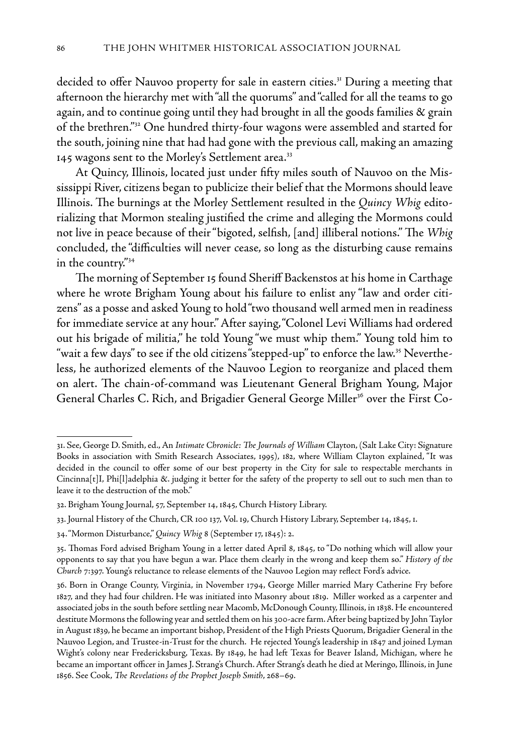decided to offer Nauvoo property for sale in eastern cities.<sup>31</sup> During a meeting that afternoon the hierarchy met with "all the quorums" and "called for all the teams to go again, and to continue going until they had brought in all the goods families & grain of the brethren."32 One hundred thirty-four wagons were assembled and started for the south, joining nine that had had gone with the previous call, making an amazing 145 wagons sent to the Morley's Settlement area.<sup>33</sup>

At Quincy, Illinois, located just under fifty miles south of Nauvoo on the Mississippi River, citizens began to publicize their belief that the Mormons should leave Illinois. The burnings at the Morley Settlement resulted in the *Quincy Whig* editorializing that Mormon stealing justified the crime and alleging the Mormons could not live in peace because of their "bigoted, selfish, [and] illiberal notions." The *Whig* concluded, the "difficulties will never cease, so long as the disturbing cause remains in the country."34

The morning of September 15 found Sheriff Backenstos at his home in Carthage where he wrote Brigham Young about his failure to enlist any "law and order citizens" as a posse and asked Young to hold "two thousand well armed men in readiness for immediate service at any hour." After saying, "Colonel Levi Williams had ordered out his brigade of militia," he told Young "we must whip them." Young told him to "wait a few days" to see if the old citizens "stepped-up" to enforce the law.<sup>35</sup> Nevertheless, he authorized elements of the Nauvoo Legion to reorganize and placed them on alert. The chain-of-command was Lieutenant General Brigham Young, Major General Charles C. Rich, and Brigadier General George Miller<sup>36</sup> over the First Co-

<sup>31.</sup> See, George D. Smith, ed., An *Intimate Chronicle: The Journals of William* Clayton, (Salt Lake City: Signature Books in association with Smith Research Associates, 1995), 182, where William Clayton explained, "It was decided in the council to offer some of our best property in the City for sale to respectable merchants in Cincinna[t]I, Phi[l]adelphia &. judging it better for the safety of the property to sell out to such men than to leave it to the destruction of the mob."

<sup>32.</sup> Brigham Young Journal, 57, September 14, 1845, Church History Library.

<sup>33.</sup> Journal History of the Church, CR 100 137, Vol. 19, Church History Library, September 14, 1845, 1.

<sup>34. &</sup>quot;Mormon Disturbance," *Quincy Whig* 8 (September 17, 1845): 2.

<sup>35.</sup> Thomas Ford advised Brigham Young in a letter dated April 8, 1845, to "Do nothing which will allow your opponents to say that you have begun a war. Place them clearly in the wrong and keep them so." *History of the Church* 7:397. Young's reluctance to release elements of the Nauvoo Legion may reflect Ford's advice.

<sup>36.</sup> Born in Orange County, Virginia, in November 1794, George Miller married Mary Catherine Fry before 1827, and they had four children. He was initiated into Masonry about 1819. Miller worked as a carpenter and associated jobs in the south before settling near Macomb, McDonough County, Illinois, in 1838. He encountered destitute Mormons the following year and settled them on his 300-acre farm. After being baptized by John Taylor in August 1839, he became an important bishop, President of the High Priests Quorum, Brigadier General in the Nauvoo Legion, and Trustee-in-Trust for the church. He rejected Young's leadership in 1847 and joined Lyman Wight's colony near Fredericksburg, Texas. By 1849, he had left Texas for Beaver Island, Michigan, where he became an important officer in James J. Strang's Church. After Strang's death he died at Meringo, Illinois, in June 1856. See Cook, *The Revelations of the Prophet Joseph Smith*, 268–69.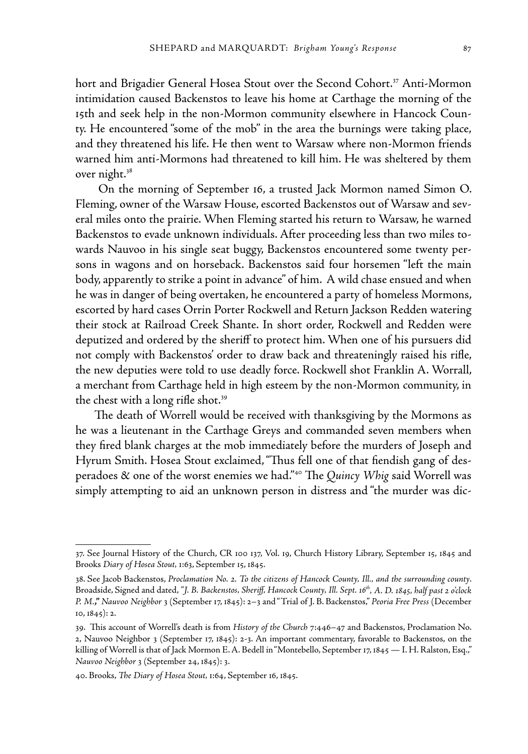hort and Brigadier General Hosea Stout over the Second Cohort.<sup>37</sup> Anti-Mormon intimidation caused Backenstos to leave his home at Carthage the morning of the 15th and seek help in the non-Mormon community elsewhere in Hancock County. He encountered "some of the mob" in the area the burnings were taking place, and they threatened his life. He then went to Warsaw where non-Mormon friends warned him anti-Mormons had threatened to kill him. He was sheltered by them over night.<sup>38</sup>

 On the morning of September 16, a trusted Jack Mormon named Simon O. Fleming, owner of the Warsaw House, escorted Backenstos out of Warsaw and several miles onto the prairie. When Fleming started his return to Warsaw, he warned Backenstos to evade unknown individuals. After proceeding less than two miles towards Nauvoo in his single seat buggy, Backenstos encountered some twenty persons in wagons and on horseback. Backenstos said four horsemen "left the main body, apparently to strike a point in advance" of him. A wild chase ensued and when he was in danger of being overtaken, he encountered a party of homeless Mormons, escorted by hard cases Orrin Porter Rockwell and Return Jackson Redden watering their stock at Railroad Creek Shante. In short order, Rockwell and Redden were deputized and ordered by the sheriff to protect him. When one of his pursuers did not comply with Backenstos' order to draw back and threateningly raised his rifle, the new deputies were told to use deadly force. Rockwell shot Franklin A. Worrall, a merchant from Carthage held in high esteem by the non-Mormon community, in the chest with a long rifle shot.<sup>39</sup>

The death of Worrell would be received with thanksgiving by the Mormons as he was a lieutenant in the Carthage Greys and commanded seven members when they fired blank charges at the mob immediately before the murders of Joseph and Hyrum Smith. Hosea Stout exclaimed, "Thus fell one of that fiendish gang of desperadoes & one of the worst enemies we had."40 The *Quincy Whig* said Worrell was simply attempting to aid an unknown person in distress and "the murder was dic-

<sup>37.</sup> See Journal History of the Church, CR 100 137, Vol. 19, Church History Library, September 15, 1845 and Brooks *Diary of Hosea Stout,* 1:63, September 15, 1845.

<sup>38.</sup> See Jacob Backenstos, *Proclamation No. 2. To the citizens of Hancock County, Ill., and the surrounding county*. Broadside, Signed and dated, *"J. B. Backenstos, Sheriff, Hancock County, Ill. Sept. 16th, A. D. 1845, half past 2 o'clock P. M.***,"** *Nauvoo Neighbor* 3 (September 17, 1845): 2–3 and "Trial of J. B. Backenstos," *Peoria Free Press* (December 10, 1845): 2.

<sup>39.</sup> This account of Worrell's death is from *History of the Church* 7:446–47 and Backenstos, Proclamation No. 2, Nauvoo Neighbor 3 (September 17, 1845): 2-3. An important commentary, favorable to Backenstos, on the killing of Worrell is that of Jack Mormon E. A. Bedell in "Montebello, September 17, 1845 — I. H. Ralston, Esq.," *Nauvoo Neighbor* 3 (September 24, 1845): 3.

<sup>40.</sup> Brooks, *The Diary of Hosea Stout,* 1:64, September 16, 1845.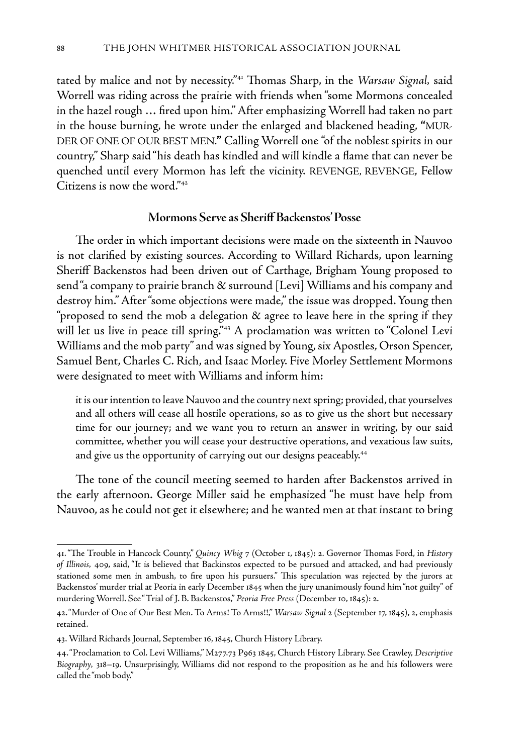tated by malice and not by necessity."41 Thomas Sharp, in the *Warsaw Signal,* said Worrell was riding across the prairie with friends when "some Mormons concealed in the hazel rough … fired upon him." After emphasizing Worrell had taken no part in the house burning, he wrote under the enlarged and blackened heading, **"**MUR-DER OF ONE OF OUR BEST MEN.**"** Calling Worrell one "of the noblest spirits in our country," Sharp said "his death has kindled and will kindle a flame that can never be quenched until every Mormon has left the vicinity. REVENGE, REVENGE, Fellow Citizens is now the word."42

## **Mormons Serve as Sheriff Backenstos' Posse**

The order in which important decisions were made on the sixteenth in Nauvoo is not clarified by existing sources. According to Willard Richards, upon learning Sheriff Backenstos had been driven out of Carthage, Brigham Young proposed to send "a company to prairie branch & surround [Levi] Williams and his company and destroy him." After "some objections were made," the issue was dropped. Young then "proposed to send the mob a delegation & agree to leave here in the spring if they will let us live in peace till spring."<sup>43</sup> A proclamation was written to "Colonel Levi Williams and the mob party" and was signed by Young, six Apostles, Orson Spencer, Samuel Bent, Charles C. Rich, and Isaac Morley. Five Morley Settlement Mormons were designated to meet with Williams and inform him:

it is our intention to leave Nauvoo and the country next spring; provided, that yourselves and all others will cease all hostile operations, so as to give us the short but necessary time for our journey; and we want you to return an answer in writing, by our said committee, whether you will cease your destructive operations, and vexatious law suits, and give us the opportunity of carrying out our designs peaceably.<sup>44</sup>

The tone of the council meeting seemed to harden after Backenstos arrived in the early afternoon. George Miller said he emphasized "he must have help from Nauvoo, as he could not get it elsewhere; and he wanted men at that instant to bring

<sup>41. &</sup>quot;The Trouble in Hancock County," *Quincy Whig* 7 (October 1, 1845): 2. Governor Thomas Ford, in *History of Illinois,* 409, said, "It is believed that Backinstos expected to be pursued and attacked, and had previously stationed some men in ambush, to fire upon his pursuers." This speculation was rejected by the jurors at Backenstos' murder trial at Peoria in early December 1845 when the jury unanimously found him "not guilty" of murdering Worrell. See "Trial of J. B. Backenstos," *Peoria Free Press* (December 10, 1845): 2.

<sup>42. &</sup>quot;Murder of One of Our Best Men. To Arms! To Arms!!," *Warsaw Signal* 2 (September 17, 1845), 2, emphasis retained.

<sup>43.</sup> Willard Richards Journal, September 16, 1845, Church History Library.

<sup>44. &</sup>quot;Proclamation to Col. Levi Williams," M277.73 P963 1845, Church History Library. See Crawley, *Descriptive Biography,* 318–19. Unsurprisingly, Williams did not respond to the proposition as he and his followers were called the "mob body."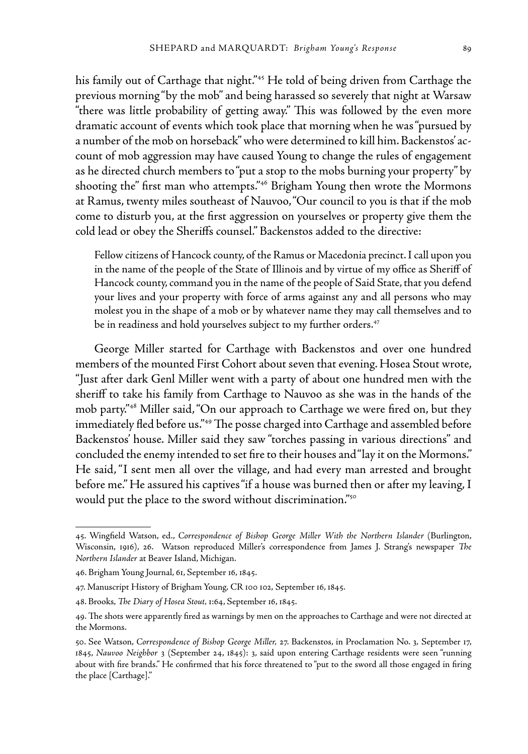his family out of Carthage that night."<sup>45</sup> He told of being driven from Carthage the previous morning "by the mob" and being harassed so severely that night at Warsaw "there was little probability of getting away." This was followed by the even more dramatic account of events which took place that morning when he was "pursued by a number of the mob on horseback" who were determined to kill him. Backenstos' account of mob aggression may have caused Young to change the rules of engagement as he directed church members to "put a stop to the mobs burning your property" by shooting the" first man who attempts."46 Brigham Young then wrote the Mormons at Ramus, twenty miles southeast of Nauvoo, "Our council to you is that if the mob come to disturb you, at the first aggression on yourselves or property give them the cold lead or obey the Sheriffs counsel." Backenstos added to the directive:

Fellow citizens of Hancock county, of the Ramus or Macedonia precinct. I call upon you in the name of the people of the State of Illinois and by virtue of my office as Sheriff of Hancock county, command you in the name of the people of Said State, that you defend your lives and your property with force of arms against any and all persons who may molest you in the shape of a mob or by whatever name they may call themselves and to be in readiness and hold yourselves subject to my further orders.<sup>47</sup>

George Miller started for Carthage with Backenstos and over one hundred members of the mounted First Cohort about seven that evening. Hosea Stout wrote, "Just after dark Genl Miller went with a party of about one hundred men with the sheriff to take his family from Carthage to Nauvoo as she was in the hands of the mob party."48 Miller said, "On our approach to Carthage we were fired on, but they immediately fled before us."49 The posse charged into Carthage and assembled before Backenstos' house. Miller said they saw "torches passing in various directions" and concluded the enemy intended to set fire to their houses and "lay it on the Mormons." He said, "I sent men all over the village, and had every man arrested and brought before me." He assured his captives "if a house was burned then or after my leaving, I would put the place to the sword without discrimination."50

<sup>45.</sup> Wingfield Watson, ed., *Correspondence of Bishop George Miller With the Northern Islander* (Burlington, Wisconsin, 1916), 26.Watson reproduced Miller's correspondence from James J. Strang's newspaper *The Northern Islander* at Beaver Island, Michigan.

<sup>46.</sup> Brigham Young Journal, 61, September 16, 1845.

<sup>47.</sup> Manuscript History of Brigham Young*,* CR 100 102, September 16, 1845.

<sup>48.</sup> Brooks, *The Diary of Hosea Stout,* 1:64, September 16, 1845.

<sup>49.</sup> The shots were apparently fired as warnings by men on the approaches to Carthage and were not directed at the Mormons.

<sup>50.</sup> See Watson, *Correspondence of Bishop George Miller,* 27. Backenstos, in Proclamation No. 3*,* September 17, 1845, *Nauvoo Neighbor* 3 (September 24, 1845): 3, said upon entering Carthage residents were seen "running about with fire brands." He confirmed that his force threatened to "put to the sword all those engaged in firing the place [Carthage]."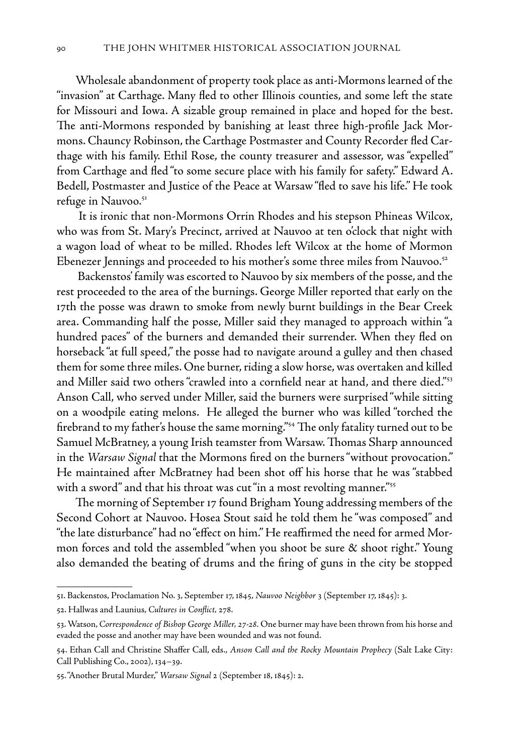Wholesale abandonment of property took place as anti-Mormons learned of the "invasion" at Carthage. Many fled to other Illinois counties, and some left the state for Missouri and Iowa. A sizable group remained in place and hoped for the best. The anti-Mormons responded by banishing at least three high-profile Jack Mormons. Chauncy Robinson, the Carthage Postmaster and County Recorder fled Carthage with his family. Ethil Rose, the county treasurer and assessor, was "expelled" from Carthage and fled "to some secure place with his family for safety." Edward A. Bedell, Postmaster and Justice of the Peace at Warsaw "fled to save his life." He took refuge in Nauvoo.<sup>51</sup>

 It is ironic that non-Mormons Orrin Rhodes and his stepson Phineas Wilcox, who was from St. Mary's Precinct, arrived at Nauvoo at ten o'clock that night with a wagon load of wheat to be milled. Rhodes left Wilcox at the home of Mormon Ebenezer Jennings and proceeded to his mother's some three miles from Nauvoo.<sup>52</sup>

 Backenstos' family was escorted to Nauvoo by six members of the posse, and the rest proceeded to the area of the burnings. George Miller reported that early on the 17th the posse was drawn to smoke from newly burnt buildings in the Bear Creek area. Commanding half the posse, Miller said they managed to approach within "a hundred paces" of the burners and demanded their surrender. When they fled on horseback "at full speed," the posse had to navigate around a gulley and then chased them for some three miles. One burner, riding a slow horse, was overtaken and killed and Miller said two others "crawled into a cornfield near at hand, and there died."53 Anson Call, who served under Miller, said the burners were surprised "while sitting on a woodpile eating melons. He alleged the burner who was killed "torched the firebrand to my father's house the same morning."54 The only fatality turned out to be Samuel McBratney, a young Irish teamster from Warsaw. Thomas Sharp announced in the *Warsaw Signal* that the Mormons fired on the burners "without provocation." He maintained after McBratney had been shot off his horse that he was "stabbed with a sword" and that his throat was cut "in a most revolting manner."<sup>55</sup>

The morning of September 17 found Brigham Young addressing members of the Second Cohort at Nauvoo. Hosea Stout said he told them he "was composed" and "the late disturbance" had no "effect on him." He reaffirmed the need for armed Mormon forces and told the assembled "when you shoot be sure & shoot right." Young also demanded the beating of drums and the firing of guns in the city be stopped

<sup>51.</sup> Backenstos, Proclamation No. 3, September 17, 1845, *Nauvoo Neighbor* 3 (September 17, 1845): 3.

<sup>52.</sup> Hallwas and Launius, *Cultures in Conflict,* 278.

<sup>53.</sup> Watson, *Correspondence of Bishop George Miller, 27-28.* One burner may have been thrown from his horse and evaded the posse and another may have been wounded and was not found.

<sup>54.</sup> Ethan Call and Christine Shaffer Call, eds., *Anson Call and the Rocky Mountain Prophecy* (Salt Lake City: Call Publishing Co., 2002), 134–39.

<sup>55. &</sup>quot;Another Brutal Murder," *Warsaw Signal* 2 (September 18, 1845): 2.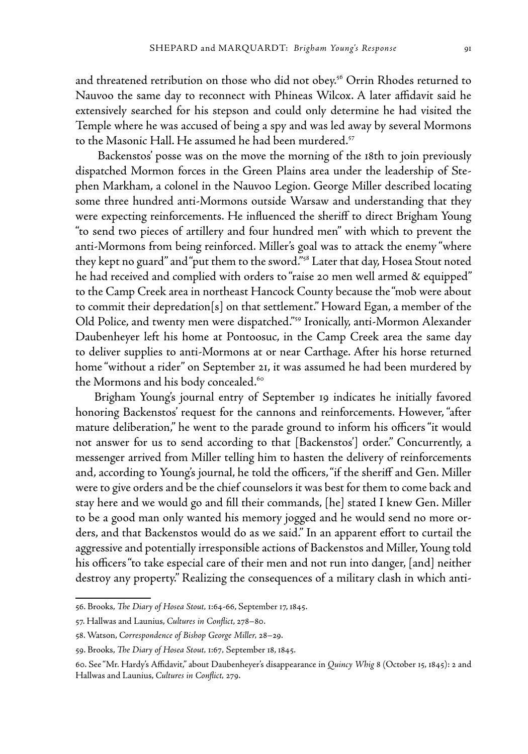and threatened retribution on those who did not obey.<sup>56</sup> Orrin Rhodes returned to Nauvoo the same day to reconnect with Phineas Wilcox. A later affidavit said he extensively searched for his stepson and could only determine he had visited the Temple where he was accused of being a spy and was led away by several Mormons to the Masonic Hall. He assumed he had been murdered.<sup>57</sup>

 Backenstos' posse was on the move the morning of the 18th to join previously dispatched Mormon forces in the Green Plains area under the leadership of Stephen Markham, a colonel in the Nauvoo Legion. George Miller described locating some three hundred anti-Mormons outside Warsaw and understanding that they were expecting reinforcements. He influenced the sheriff to direct Brigham Young "to send two pieces of artillery and four hundred men" with which to prevent the anti-Mormons from being reinforced. Miller's goal was to attack the enemy "where they kept no guard" and "put them to the sword."58 Later that day, Hosea Stout noted he had received and complied with orders to "raise 20 men well armed & equipped" to the Camp Creek area in northeast Hancock County because the "mob were about to commit their depredation[s] on that settlement." Howard Egan, a member of the Old Police, and twenty men were dispatched."59 Ironically, anti-Mormon Alexander Daubenheyer left his home at Pontoosuc, in the Camp Creek area the same day to deliver supplies to anti-Mormons at or near Carthage. After his horse returned home "without a rider" on September 21, it was assumed he had been murdered by the Mormons and his body concealed.<sup>60</sup>

Brigham Young's journal entry of September 19 indicates he initially favored honoring Backenstos' request for the cannons and reinforcements. However, "after mature deliberation," he went to the parade ground to inform his officers "it would not answer for us to send according to that [Backenstos'] order." Concurrently, a messenger arrived from Miller telling him to hasten the delivery of reinforcements and, according to Young's journal, he told the officers, "if the sheriff and Gen. Miller were to give orders and be the chief counselors it was best for them to come back and stay here and we would go and fill their commands, [he] stated I knew Gen. Miller to be a good man only wanted his memory jogged and he would send no more orders, and that Backenstos would do as we said." In an apparent effort to curtail the aggressive and potentially irresponsible actions of Backenstos and Miller, Young told his officers "to take especial care of their men and not run into danger, [and] neither destroy any property." Realizing the consequences of a military clash in which anti-

<sup>56.</sup> Brooks, *The Diary of Hosea Stout,* 1:64-66, September 17, 1845.

<sup>57.</sup> Hallwas and Launius, *Cultures in Conflict*, 278–80.

<sup>58.</sup> Watson, *Correspondence of Bishop George Miller,* 28–29.

<sup>59.</sup> Brooks, *The Diary of Hosea Stout,* 1:67*,* September 18, 1845.

<sup>60.</sup> See "Mr. Hardy's Affidavit," about Daubenheyer's disappearance in *Quincy Whig* 8 (October 15, 1845): 2 and Hallwas and Launius, *Cultures in Conflict,* 279.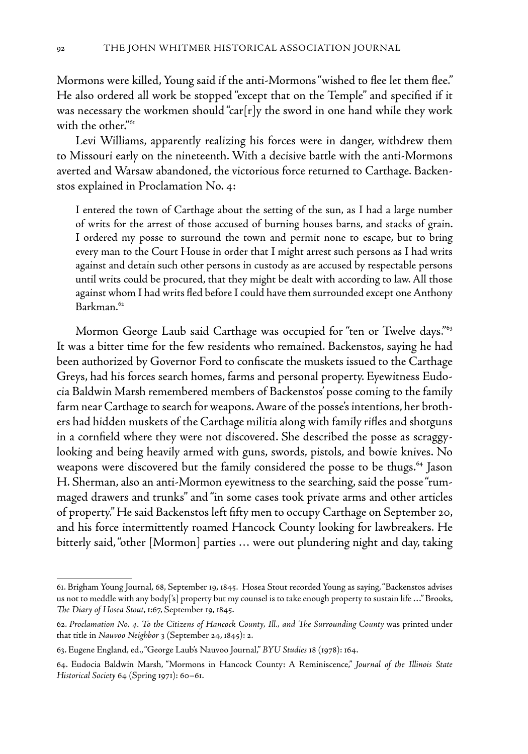Mormons were killed, Young said if the anti-Mormons "wished to flee let them flee." He also ordered all work be stopped "except that on the Temple" and specified if it was necessary the workmen should "car[r]y the sword in one hand while they work with the other."<sup>61</sup>

Levi Williams, apparently realizing his forces were in danger, withdrew them to Missouri early on the nineteenth. With a decisive battle with the anti-Mormons averted and Warsaw abandoned, the victorious force returned to Carthage. Backenstos explained in Proclamation No. 4:

I entered the town of Carthage about the setting of the sun, as I had a large number of writs for the arrest of those accused of burning houses barns, and stacks of grain. I ordered my posse to surround the town and permit none to escape, but to bring every man to the Court House in order that I might arrest such persons as I had writs against and detain such other persons in custody as are accused by respectable persons until writs could be procured, that they might be dealt with according to law. All those against whom I had writs fled before I could have them surrounded except one Anthony Barkman.<sup>62</sup>

Mormon George Laub said Carthage was occupied for "ten or Twelve days."<sup>63</sup> It was a bitter time for the few residents who remained. Backenstos, saying he had been authorized by Governor Ford to confiscate the muskets issued to the Carthage Greys, had his forces search homes, farms and personal property. Eyewitness Eudocia Baldwin Marsh remembered members of Backenstos' posse coming to the family farm near Carthage to search for weapons. Aware of the posse's intentions, her brothers had hidden muskets of the Carthage militia along with family rifles and shotguns in a cornfield where they were not discovered. She described the posse as scraggylooking and being heavily armed with guns, swords, pistols, and bowie knives. No weapons were discovered but the family considered the posse to be thugs.<sup>64</sup> Jason H. Sherman, also an anti-Mormon eyewitness to the searching, said the posse "rummaged drawers and trunks" and "in some cases took private arms and other articles of property." He said Backenstos left fifty men to occupy Carthage on September 20, and his force intermittently roamed Hancock County looking for lawbreakers. He bitterly said, "other [Mormon] parties … were out plundering night and day, taking

<sup>61.</sup> Brigham Young Journal, 68, September 19, 1845. Hosea Stout recorded Young as saying, "Backenstos advises us not to meddle with any body['s] property but my counsel is to take enough property to sustain life …" Brooks, *The Diary of Hosea Stout*, 1:67, September 19, 1845.

<sup>62.</sup> *Proclamation No. 4. To the Citizens of Hancock County, Ill., and The Surrounding County* was printed under that title in *Nauvoo Neighbor* 3 (September 24, 1845): 2.

<sup>63.</sup> Eugene England, ed., "George Laub's Nauvoo Journal," *BYU Studies* 18 (1978): 164.

<sup>64.</sup> Eudocia Baldwin Marsh, "Mormons in Hancock County: A Reminiscence," *Journal of the Illinois State Historical Society* 64 (Spring 1971): 60–61.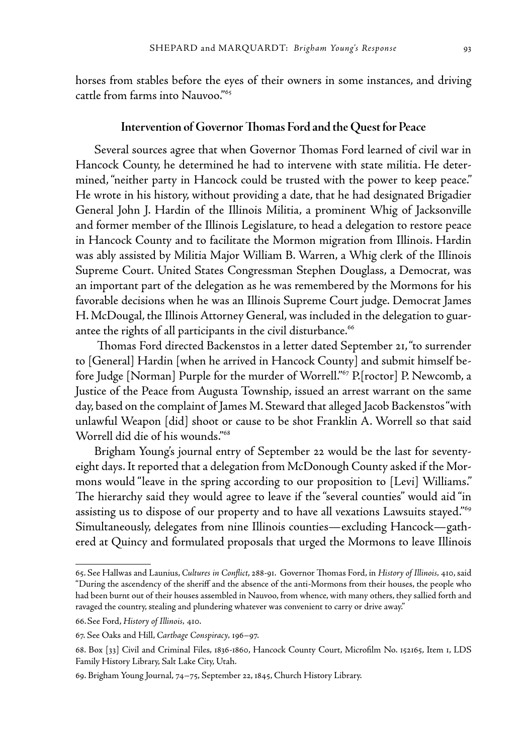horses from stables before the eyes of their owners in some instances, and driving cattle from farms into Nauvoo."65

#### **Intervention of Governor Thomas Ford and the Quest for Peace**

Several sources agree that when Governor Thomas Ford learned of civil war in Hancock County, he determined he had to intervene with state militia. He determined, "neither party in Hancock could be trusted with the power to keep peace." He wrote in his history, without providing a date, that he had designated Brigadier General John J. Hardin of the Illinois Militia, a prominent Whig of Jacksonville and former member of the Illinois Legislature, to head a delegation to restore peace in Hancock County and to facilitate the Mormon migration from Illinois. Hardin was ably assisted by Militia Major William B. Warren, a Whig clerk of the Illinois Supreme Court. United States Congressman Stephen Douglass, a Democrat, was an important part of the delegation as he was remembered by the Mormons for his favorable decisions when he was an Illinois Supreme Court judge. Democrat James H. McDougal, the Illinois Attorney General, was included in the delegation to guarantee the rights of all participants in the civil disturbance.<sup>66</sup>

 Thomas Ford directed Backenstos in a letter dated September 21, "to surrender to [General] Hardin [when he arrived in Hancock County] and submit himself before Judge [Norman] Purple for the murder of Worrell."<sup>67</sup> P.[roctor] P. Newcomb, a Justice of the Peace from Augusta Township, issued an arrest warrant on the same day, based on the complaint of James M. Steward that alleged Jacob Backenstos "with unlawful Weapon [did] shoot or cause to be shot Franklin A. Worrell so that said Worrell did die of his wounds."68

Brigham Young's journal entry of September 22 would be the last for seventyeight days. It reported that a delegation from McDonough County asked if the Mormons would "leave in the spring according to our proposition to [Levi] Williams." The hierarchy said they would agree to leave if the "several counties" would aid "in assisting us to dispose of our property and to have all vexations Lawsuits stayed."69 Simultaneously, delegates from nine Illinois counties—excluding Hancock—gathered at Quincy and formulated proposals that urged the Mormons to leave Illinois

<sup>65.</sup> See Hallwas and Launius, *Cultures in Conflict*, 288-91. Governor Thomas Ford, in *History of Illinois,* 410, said "During the ascendency of the sheriff and the absence of the anti-Mormons from their houses, the people who had been burnt out of their houses assembled in Nauvoo, from whence, with many others, they sallied forth and ravaged the country, stealing and plundering whatever was convenient to carry or drive away."

<sup>66.</sup>See Ford, *History of Illinois,* 410.

<sup>67.</sup> See Oaks and Hill, *Carthage Conspiracy,* 196–97.

<sup>68.</sup> Box [33] Civil and Criminal Files, 1836-1860, Hancock County Court, Microfilm No. 152165, Item 1, LDS Family History Library, Salt Lake City, Utah.

<sup>69.</sup> Brigham Young Journal, 74–75, September 22, 1845, Church History Library.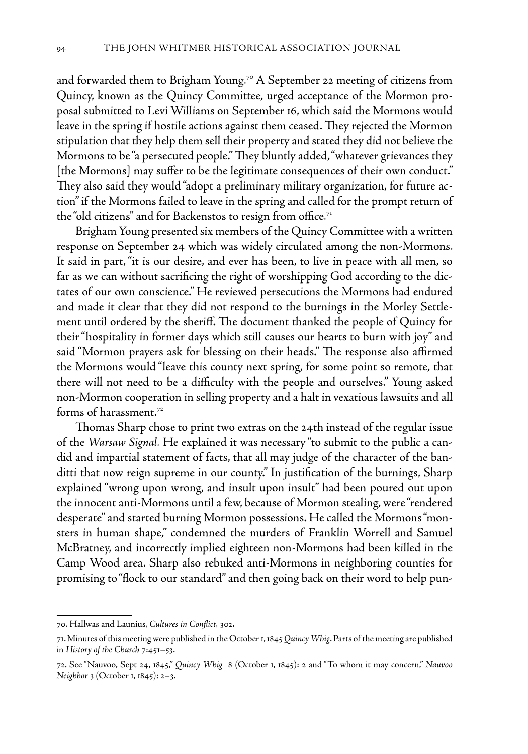and forwarded them to Brigham Young.<sup>70</sup> A September 22 meeting of citizens from Quincy, known as the Quincy Committee, urged acceptance of the Mormon proposal submitted to Levi Williams on September 16, which said the Mormons would leave in the spring if hostile actions against them ceased. They rejected the Mormon stipulation that they help them sell their property and stated they did not believe the Mormons to be "a persecuted people." They bluntly added, "whatever grievances they [the Mormons] may suffer to be the legitimate consequences of their own conduct." They also said they would "adopt a preliminary military organization, for future action" if the Mormons failed to leave in the spring and called for the prompt return of the "old citizens" and for Backenstos to resign from office.<sup>71</sup>

Brigham Young presented six members of the Quincy Committee with a written response on September 24 which was widely circulated among the non-Mormons. It said in part, "it is our desire, and ever has been, to live in peace with all men, so far as we can without sacrificing the right of worshipping God according to the dictates of our own conscience." He reviewed persecutions the Mormons had endured and made it clear that they did not respond to the burnings in the Morley Settlement until ordered by the sheriff. The document thanked the people of Quincy for their "hospitality in former days which still causes our hearts to burn with joy" and said "Mormon prayers ask for blessing on their heads." The response also affirmed the Mormons would "leave this county next spring, for some point so remote, that there will not need to be a difficulty with the people and ourselves." Young asked non-Mormon cooperation in selling property and a halt in vexatious lawsuits and all forms of harassment.<sup>72</sup>

Thomas Sharp chose to print two extras on the 24th instead of the regular issue of the *Warsaw Signal.* He explained it was necessary "to submit to the public a candid and impartial statement of facts, that all may judge of the character of the banditti that now reign supreme in our county." In justification of the burnings, Sharp explained "wrong upon wrong, and insult upon insult" had been poured out upon the innocent anti-Mormons until a few, because of Mormon stealing, were "rendered desperate" and started burning Mormon possessions. He called the Mormons "monsters in human shape," condemned the murders of Franklin Worrell and Samuel McBratney, and incorrectly implied eighteen non-Mormons had been killed in the Camp Wood area. Sharp also rebuked anti-Mormons in neighboring counties for promising to "flock to our standard" and then going back on their word to help pun-

<sup>70.</sup> Hallwas and Launius, *Cultures in Conflict,* 302**.**

<sup>71.</sup> Minutes of this meeting were published in the October 1, 1845 *Quincy Whig*. Parts of the meeting are published in *History of the Church* 7:451–53.

<sup>72.</sup> See "Nauvoo, Sept 24, 1845," *Quincy Whig* 8 (October 1, 1845): 2 and "To whom it may concern," *Nauvoo Neighbor* 3 (October 1, 1845): 2–3.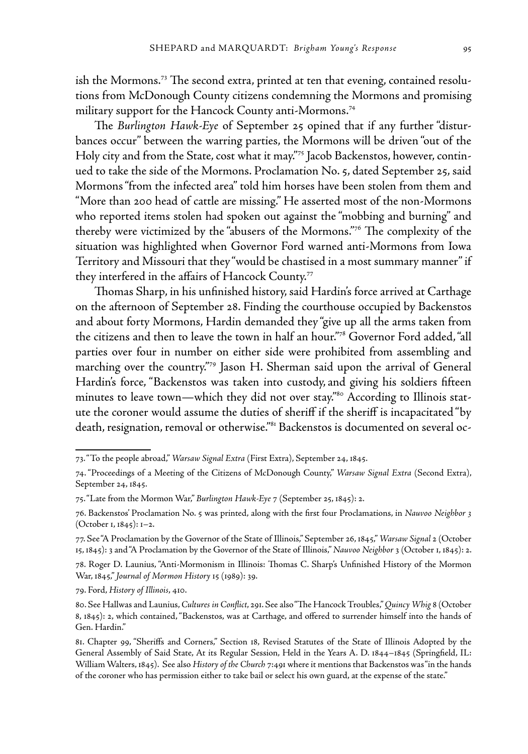ish the Mormons.<sup>73</sup> The second extra, printed at ten that evening, contained resolutions from McDonough County citizens condemning the Mormons and promising military support for the Hancock County anti-Mormons.<sup>74</sup>

The *Burlington Hawk-Eye* of September 25 opined that if any further "disturbances occur" between the warring parties, the Mormons will be driven "out of the Holy city and from the State, cost what it may."75 Jacob Backenstos, however, continued to take the side of the Mormons. Proclamation No. 5, dated September 25, said Mormons "from the infected area" told him horses have been stolen from them and "More than 200 head of cattle are missing." He asserted most of the non-Mormons who reported items stolen had spoken out against the "mobbing and burning" and thereby were victimized by the "abusers of the Mormons."76 The complexity of the situation was highlighted when Governor Ford warned anti-Mormons from Iowa Territory and Missouri that they "would be chastised in a most summary manner" if they interfered in the affairs of Hancock County.<sup>77</sup>

Thomas Sharp, in his unfinished history, said Hardin's force arrived at Carthage on the afternoon of September 28. Finding the courthouse occupied by Backenstos and about forty Mormons, Hardin demanded they "give up all the arms taken from the citizens and then to leave the town in half an hour."78 Governor Ford added, "all parties over four in number on either side were prohibited from assembling and marching over the country."79 Jason H. Sherman said upon the arrival of General Hardin's force, "Backenstos was taken into custody, and giving his soldiers fifteen minutes to leave town—which they did not over stay."<sup>80</sup> According to Illinois statute the coroner would assume the duties of sheriff if the sheriff is incapacitated "by death, resignation, removal or otherwise."<sup>81</sup> Backenstos is documented on several oc-

79. Ford, *History of Illinois*, 410.

<sup>73. &</sup>quot;To the people abroad," *Warsaw Signal Extra* (First Extra), September 24, 1845.

<sup>74. &</sup>quot;Proceedings of a Meeting of the Citizens of McDonough County," *Warsaw Signal Extra* (Second Extra), September 24, 1845.

<sup>75. &</sup>quot;Late from the Mormon War," *Burlington Hawk-Eye* 7 (September 25, 1845): 2.

<sup>76.</sup> Backenstos' Proclamation No. 5 was printed, along with the first four Proclamations, in *Nauvoo Neighbor 3*  (October 1, 1845): 1–2.

<sup>77.</sup> See "A Proclamation by the Governor of the State of Illinois," September 26, 1845," *Warsaw Signal* 2 (October 15, 1845): 3 and "A Proclamation by the Governor of the State of Illinois," *Nauvoo Neighbor* 3 (October 1, 1845): 2.

<sup>78.</sup> Roger D. Launius, "Anti-Mormonism in Illinois: Thomas C. Sharp's Unfinished History of the Mormon War, 1845," *Journal of Mormon History* 15 (1989): 39.

<sup>80.</sup> See Hallwas and Launius, *Cultures in Conflict*, 291. See also "The Hancock Troubles," *Quincy Whig* 8 (October 8, 1845): 2, which contained, "Backenstos, was at Carthage, and offered to surrender himself into the hands of Gen. Hardin."

<sup>81.</sup> Chapter 99, "Sheriffs and Corners," Section 18, Revised Statutes of the State of Illinois Adopted by the General Assembly of Said State, At its Regular Session, Held in the Years A. D. 1844–1845 (Springfield, IL: William Walters, 1845). See also *History of the Church* 7:491 where it mentions that Backenstos was "in the hands of the coroner who has permission either to take bail or select his own guard, at the expense of the state."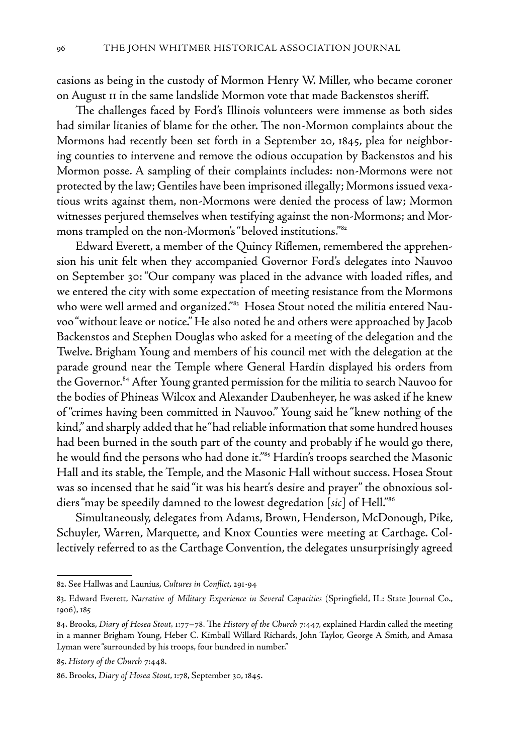casions as being in the custody of Mormon Henry W. Miller, who became coroner on August 11 in the same landslide Mormon vote that made Backenstos sheriff.

The challenges faced by Ford's Illinois volunteers were immense as both sides had similar litanies of blame for the other. The non-Mormon complaints about the Mormons had recently been set forth in a September 20, 1845, plea for neighboring counties to intervene and remove the odious occupation by Backenstos and his Mormon posse. A sampling of their complaints includes: non-Mormons were not protected by the law; Gentiles have been imprisoned illegally; Mormons issued vexatious writs against them, non-Mormons were denied the process of law; Mormon witnesses perjured themselves when testifying against the non-Mormons; and Mormons trampled on the non-Mormon's "beloved institutions."82

Edward Everett, a member of the Quincy Riflemen, remembered the apprehension his unit felt when they accompanied Governor Ford's delegates into Nauvoo on September 30: "Our company was placed in the advance with loaded rifles, and we entered the city with some expectation of meeting resistance from the Mormons who were well armed and organized."<sup>83</sup> Hosea Stout noted the militia entered Nauvoo "without leave or notice." He also noted he and others were approached by Jacob Backenstos and Stephen Douglas who asked for a meeting of the delegation and the Twelve. Brigham Young and members of his council met with the delegation at the parade ground near the Temple where General Hardin displayed his orders from the Governor.<sup>84</sup> After Young granted permission for the militia to search Nauvoo for the bodies of Phineas Wilcox and Alexander Daubenheyer, he was asked if he knew of "crimes having been committed in Nauvoo." Young said he "knew nothing of the kind," and sharply added that he "had reliable information that some hundred houses had been burned in the south part of the county and probably if he would go there, he would find the persons who had done it."<sup>85</sup> Hardin's troops searched the Masonic Hall and its stable, the Temple, and the Masonic Hall without success. Hosea Stout was so incensed that he said "it was his heart's desire and prayer" the obnoxious soldiers "may be speedily damned to the lowest degredation [*sic*] of Hell."86

Simultaneously, delegates from Adams, Brown, Henderson, McDonough, Pike, Schuyler, Warren, Marquette, and Knox Counties were meeting at Carthage. Collectively referred to as the Carthage Convention, the delegates unsurprisingly agreed

<sup>82.</sup> See Hallwas and Launius, *Cultures in Conflict*, 291-94

<sup>83.</sup> Edward Everett, *Narrative of Military Experience in Several Capacities* (Springfield, IL: State Journal Co., 1906), 185

<sup>84.</sup> Brooks, *Diary of Hosea Stout,* 1:77–78. The *History of the Church* 7:447, explained Hardin called the meeting in a manner Brigham Young, Heber C. Kimball Willard Richards, John Taylor, George A Smith, and Amasa Lyman were "surrounded by his troops, four hundred in number."

<sup>85.</sup> *History of the Church* 7:448.

<sup>86.</sup> Brooks, *Diary of Hosea Stout*, 1:78, September 30, 1845.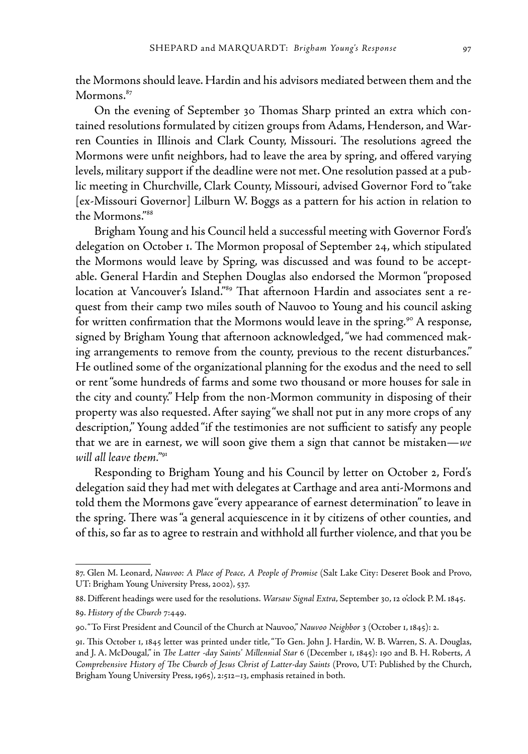the Mormons should leave. Hardin and his advisors mediated between them and the Mormons.<sup>87</sup>

On the evening of September 30 Thomas Sharp printed an extra which contained resolutions formulated by citizen groups from Adams, Henderson, and Warren Counties in Illinois and Clark County, Missouri. The resolutions agreed the Mormons were unfit neighbors, had to leave the area by spring, and offered varying levels, military support if the deadline were not met. One resolution passed at a public meeting in Churchville, Clark County, Missouri, advised Governor Ford to "take [ex-Missouri Governor] Lilburn W. Boggs as a pattern for his action in relation to the Mormons."88

Brigham Young and his Council held a successful meeting with Governor Ford's delegation on October 1. The Mormon proposal of September 24, which stipulated the Mormons would leave by Spring, was discussed and was found to be acceptable. General Hardin and Stephen Douglas also endorsed the Mormon "proposed location at Vancouver's Island."<sup>89</sup> That afternoon Hardin and associates sent a request from their camp two miles south of Nauvoo to Young and his council asking for written confirmation that the Mormons would leave in the spring.<sup>90</sup> A response, signed by Brigham Young that afternoon acknowledged, "we had commenced making arrangements to remove from the county, previous to the recent disturbances." He outlined some of the organizational planning for the exodus and the need to sell or rent "some hundreds of farms and some two thousand or more houses for sale in the city and county." Help from the non-Mormon community in disposing of their property was also requested. After saying "we shall not put in any more crops of any description," Young added "if the testimonies are not sufficient to satisfy any people that we are in earnest, we will soon give them a sign that cannot be mistaken—*we will all leave them."*<sup>91</sup>

Responding to Brigham Young and his Council by letter on October 2, Ford's delegation said they had met with delegates at Carthage and area anti-Mormons and told them the Mormons gave "every appearance of earnest determination" to leave in the spring. There was "a general acquiescence in it by citizens of other counties, and of this, so far as to agree to restrain and withhold all further violence, and that you be

<sup>87.</sup> Glen M. Leonard, *Nauvoo: A Place of Peace, A People of Promise* (Salt Lake City: Deseret Book and Provo, UT: Brigham Young University Press, 2002), 537.

<sup>88.</sup> Different headings were used for the resolutions. *Warsaw Signal Extra*, September 30, 12 o'clock P. M. 1845. 89. *History of the Church* 7:449.

<sup>90. &</sup>quot;To First President and Council of the Church at Nauvoo," *Nauvoo Neighbor* 3 (October 1, 1845): 2.

<sup>91.</sup> This October 1, 1845 letter was printed under title, "To Gen. John J. Hardin, W. B. Warren, S. A. Douglas, and J. A. McDougal," in *The Latter -day Saints' Millennial Star* 6 (December 1, 1845): 190 and B. H. Roberts, *A Comprehensive History of The Church of Jesus Christ of Latter-day Saints* (Provo, UT: Published by the Church, Brigham Young University Press, 1965), 2:512–13, emphasis retained in both.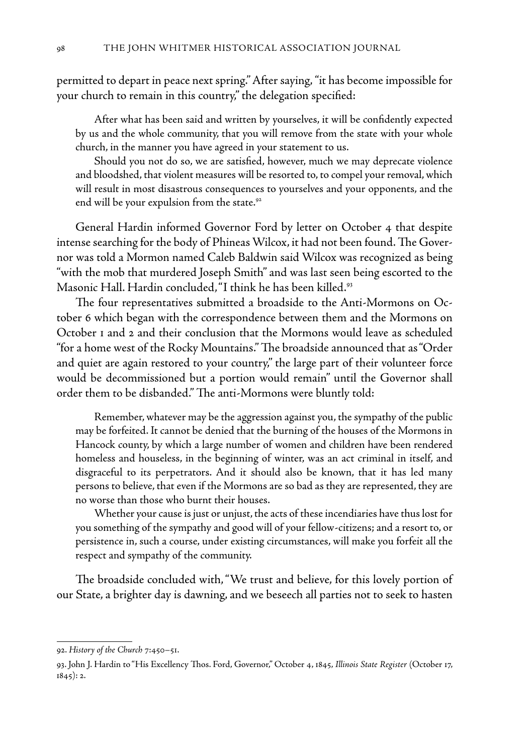permitted to depart in peace next spring." After saying, "it has become impossible for your church to remain in this country," the delegation specified:

 After what has been said and written by yourselves, it will be confidently expected by us and the whole community, that you will remove from the state with your whole church, in the manner you have agreed in your statement to us.

 Should you not do so, we are satisfied, however, much we may deprecate violence and bloodshed, that violent measures will be resorted to, to compel your removal, which will result in most disastrous consequences to yourselves and your opponents, and the end will be your expulsion from the state.<sup>92</sup>

General Hardin informed Governor Ford by letter on October 4 that despite intense searching for the body of Phineas Wilcox, it had not been found. The Governor was told a Mormon named Caleb Baldwin said Wilcox was recognized as being "with the mob that murdered Joseph Smith" and was last seen being escorted to the Masonic Hall. Hardin concluded, "I think he has been killed.<sup>93</sup>

The four representatives submitted a broadside to the Anti-Mormons on October 6 which began with the correspondence between them and the Mormons on October 1 and 2 and their conclusion that the Mormons would leave as scheduled "for a home west of the Rocky Mountains." The broadside announced that as "Order and quiet are again restored to your country," the large part of their volunteer force would be decommissioned but a portion would remain" until the Governor shall order them to be disbanded." The anti-Mormons were bluntly told:

 Remember, whatever may be the aggression against you, the sympathy of the public may be forfeited. It cannot be denied that the burning of the houses of the Mormons in Hancock county, by which a large number of women and children have been rendered homeless and houseless, in the beginning of winter, was an act criminal in itself, and disgraceful to its perpetrators. And it should also be known, that it has led many persons to believe, that even if the Mormons are so bad as they are represented, they are no worse than those who burnt their houses.

 Whether your cause is just or unjust, the acts of these incendiaries have thus lost for you something of the sympathy and good will of your fellow-citizens; and a resort to, or persistence in, such a course, under existing circumstances, will make you forfeit all the respect and sympathy of the community.

The broadside concluded with, "We trust and believe, for this lovely portion of our State, a brighter day is dawning, and we beseech all parties not to seek to hasten

<sup>92.</sup> *History of the Church* 7:450–51.

<sup>93.</sup> John J. Hardin to "His Excellency Thos. Ford, Governor," October 4, 1845, *Illinois State Register* (October 17, 1845): 2.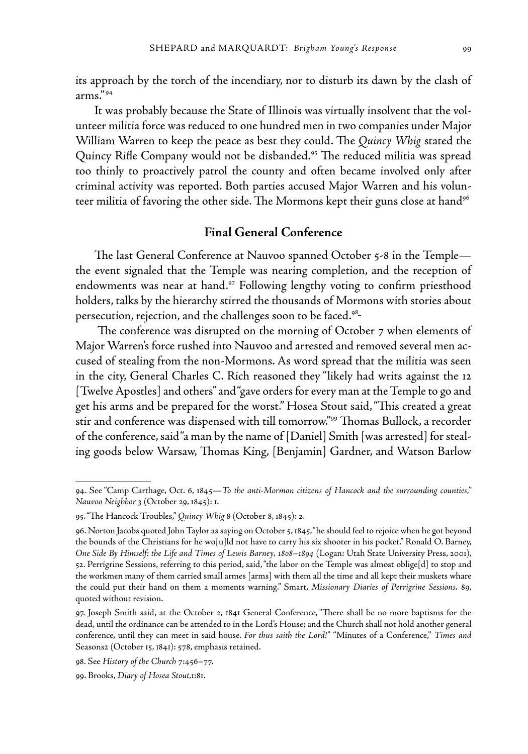its approach by the torch of the incendiary, nor to disturb its dawn by the clash of arms." 94

It was probably because the State of Illinois was virtually insolvent that the volunteer militia force was reduced to one hundred men in two companies under Major William Warren to keep the peace as best they could. The *Quincy Whig* stated the Quincy Rifle Company would not be disbanded.<sup>95</sup> The reduced militia was spread too thinly to proactively patrol the county and often became involved only after criminal activity was reported. Both parties accused Major Warren and his volunteer militia of favoring the other side. The Mormons kept their guns close at hand<sup>96</sup>

# **Final General Conference**

The last General Conference at Nauvoo spanned October 5-8 in the Temple the event signaled that the Temple was nearing completion, and the reception of endowments was near at hand.<sup>97</sup> Following lengthy voting to confirm priesthood holders, talks by the hierarchy stirred the thousands of Mormons with stories about persecution, rejection, and the challenges soon to be faced.<sup>98</sup>

 The conference was disrupted on the morning of October 7 when elements of Major Warren's force rushed into Nauvoo and arrested and removed several men accused of stealing from the non-Mormons. As word spread that the militia was seen in the city, General Charles C. Rich reasoned they "likely had writs against the 12 [Twelve Apostles] and others" and "gave orders for every man at the Temple to go and get his arms and be prepared for the worst." Hosea Stout said, "This created a great stir and conference was dispensed with till tomorrow."99 Thomas Bullock, a recorder of the conference, said "a man by the name of [Daniel] Smith [was arrested] for stealing goods below Warsaw, Thomas King, [Benjamin] Gardner, and Watson Barlow

<sup>94.</sup> See "Camp Carthage, Oct. 6, 1845—*To the anti-Mormon citizens of Hancock and the surrounding counties," Nauvoo Neighbor* 3 (October 29, 1845): 1.

<sup>95. &</sup>quot;The Hancock Troubles," *Quincy Whig* 8 (October 8, 1845): 2.

<sup>96.</sup> Norton Jacobs quoted John Taylor as saying on October 5, 1845, "he should feel to rejoice when he got beyond the bounds of the Christians for he wo[u]ld not have to carry his six shooter in his pocket." Ronald O. Barney, *One Side By Himself: the Life and Times of Lewis Barney, 1808–1894* (Logan: Utah State University Press, 2001), 52. Perrigrine Sessions, referring to this period, said, "the labor on the Temple was almost oblige[d] to stop and the workmen many of them carried small armes [arms] with them all the time and all kept their muskets whare the could put their hand on them a moments warning." Smart, *Missionary Diaries of Perrigrine Sessions,* 89, quoted without revision.

<sup>97.</sup> Joseph Smith said, at the October 2, 1841 General Conference, "There shall be no more baptisms for the dead, until the ordinance can be attended to in the Lord's House; and the Church shall not hold another general conference, until they can meet in said house. *For thus saith the Lord!"* "Minutes of a Conference," *Times and*  Seasons2 (October 15, 1841): 578, emphasis retained.

<sup>98.</sup> See *History of the Church* 7:456–77.

<sup>99.</sup> Brooks, *Diary of Hosea Stout,*1:81.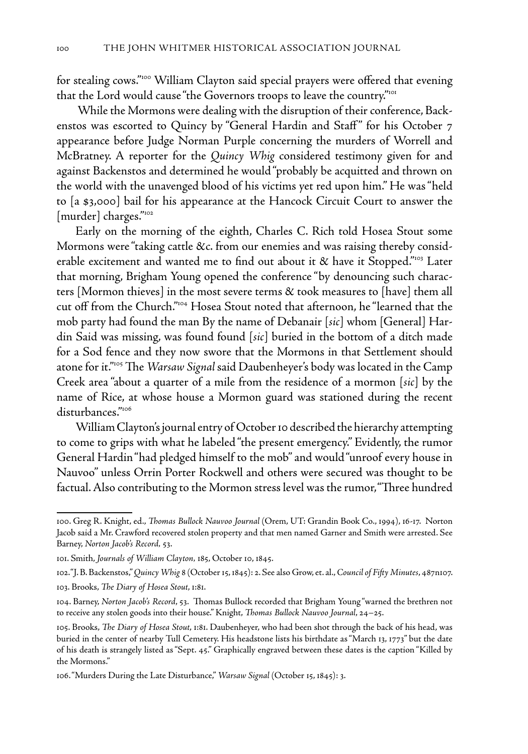for stealing cows."<sup>100</sup> William Clayton said special prayers were offered that evening that the Lord would cause "the Governors troops to leave the country."<sup>101</sup>

 While the Mormons were dealing with the disruption of their conference, Backenstos was escorted to Quincy by "General Hardin and Staff" for his October 7 appearance before Judge Norman Purple concerning the murders of Worrell and McBratney. A reporter for the *Quincy Whig* considered testimony given for and against Backenstos and determined he would "probably be acquitted and thrown on the world with the unavenged blood of his victims yet red upon him." He was "held to [a \$3,000] bail for his appearance at the Hancock Circuit Court to answer the [murder] charges."102

Early on the morning of the eighth, Charles C. Rich told Hosea Stout some Mormons were "taking cattle &c. from our enemies and was raising thereby considerable excitement and wanted me to find out about it & have it Stopped."<sup>103</sup> Later that morning, Brigham Young opened the conference "by denouncing such characters [Mormon thieves] in the most severe terms & took measures to [have] them all cut off from the Church."104 Hosea Stout noted that afternoon, he "learned that the mob party had found the man By the name of Debanair [*sic*] whom [General] Hardin Said was missing, was found found [*sic*] buried in the bottom of a ditch made for a Sod fence and they now swore that the Mormons in that Settlement should atone for it."105 The *Warsaw Signal* said Daubenheyer's body was located in the Camp Creek area "about a quarter of a mile from the residence of a mormon [*sic*] by the name of Rice, at whose house a Mormon guard was stationed during the recent disturbances."106

William Clayton's journal entry of October 10 described the hierarchy attempting to come to grips with what he labeled "the present emergency." Evidently, the rumor General Hardin "had pledged himself to the mob" and would "unroof every house in Nauvoo" unless Orrin Porter Rockwell and others were secured was thought to be factual. Also contributing to the Mormon stress level was the rumor, "Three hundred

<sup>100.</sup> Greg R. Knight, ed., *Thomas Bullock Nauvoo Journal* (Orem, UT: Grandin Book Co., 1994), 16-17. Norton Jacob said a Mr. Crawford recovered stolen property and that men named Garner and Smith were arrested. See Barney, *Norton Jacob's Record,* 53.

<sup>101.</sup> Smith, *Journals of William Clayton,* 185, October 10, 1845.

<sup>102. &</sup>quot;J. B. Backenstos," *Quincy Whig* 8 (October 15, 1845): 2. See also Grow, et. al., *Council of Fifty Minutes*, 487n107. 103. Brooks, *The Diary of Hosea Stout*, 1:81.

<sup>104.</sup> Barney, *Norton Jacob's Record*, 53. Thomas Bullock recorded that Brigham Young "warned the brethren not to receive any stolen goods into their house." Knight, *Thomas Bullock Nauvoo Journal*, 24–25.

<sup>105.</sup> Brooks, *The Diary of Hosea Stout*, 1:81. Daubenheyer, who had been shot through the back of his head, was buried in the center of nearby Tull Cemetery. His headstone lists his birthdate as "March 13, 1773" but the date of his death is strangely listed as "Sept. 45." Graphically engraved between these dates is the caption "Killed by the Mormons."

<sup>106. &</sup>quot;Murders During the Late Disturbance," *Warsaw Signal* (October 15, 1845): 3.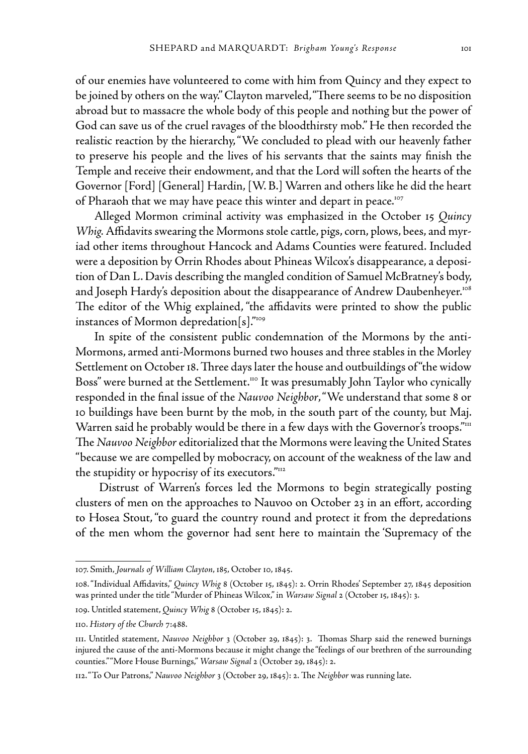of our enemies have volunteered to come with him from Quincy and they expect to be joined by others on the way." Clayton marveled, "There seems to be no disposition abroad but to massacre the whole body of this people and nothing but the power of God can save us of the cruel ravages of the bloodthirsty mob." He then recorded the realistic reaction by the hierarchy, "We concluded to plead with our heavenly father to preserve his people and the lives of his servants that the saints may finish the Temple and receive their endowment, and that the Lord will soften the hearts of the Governor [Ford] [General] Hardin, [W. B.] Warren and others like he did the heart of Pharaoh that we may have peace this winter and depart in peace.<sup>107</sup>

Alleged Mormon criminal activity was emphasized in the October 15 *Quincy Whig.* Affidavits swearing the Mormons stole cattle, pigs, corn, plows, bees, and myriad other items throughout Hancock and Adams Counties were featured. Included were a deposition by Orrin Rhodes about Phineas Wilcox's disappearance, a deposition of Dan L. Davis describing the mangled condition of Samuel McBratney's body, and Joseph Hardy's deposition about the disappearance of Andrew Daubenheyer.<sup>108</sup> The editor of the Whig explained, "the affidavits were printed to show the public instances of Mormon depredation[s]."109

In spite of the consistent public condemnation of the Mormons by the anti-Mormons, armed anti-Mormons burned two houses and three stables in the Morley Settlement on October 18. Three days later the house and outbuildings of "the widow Boss" were burned at the Settlement.<sup>110</sup> It was presumably John Taylor who cynically responded in the final issue of the *Nauvoo Neighbor*, "We understand that some 8 or 10 buildings have been burnt by the mob, in the south part of the county, but Maj. Warren said he probably would be there in a few days with the Governor's troops."<sup>111</sup> The *Nauvoo Neighbor* editorialized that the Mormons were leaving the United States "because we are compelled by mobocracy, on account of the weakness of the law and the stupidity or hypocrisy of its executors."<sup>112</sup>

 Distrust of Warren's forces led the Mormons to begin strategically posting clusters of men on the approaches to Nauvoo on October 23 in an effort, according to Hosea Stout, "to guard the country round and protect it from the depredations of the men whom the governor had sent here to maintain the 'Supremacy of the

<sup>107.</sup> Smith, *Journals of William Clayton*, 185, October 10, 1845.

<sup>108. &</sup>quot;Individual Affidavits," *Quincy Whig* 8 (October 15, 1845): 2. Orrin Rhodes' September 27, 1845 deposition was printed under the title "Murder of Phineas Wilcox," in *Warsaw Signal* 2 (October 15, 1845): 3.

<sup>109.</sup> Untitled statement, *Quincy Whig* 8 (October 15, 1845): 2.

<sup>110.</sup> *History of the Church* 7:488.

<sup>111.</sup> Untitled statement, *Nauvoo Neighbor* 3 (October 29, 1845): 3. Thomas Sharp said the renewed burnings injured the cause of the anti-Mormons because it might change the "feelings of our brethren of the surrounding counties." "More House Burnings," *Warsaw Signal* 2 (October 29, 1845): 2.

<sup>112. &</sup>quot;To Our Patrons," *Nauvoo Neighbor* 3 (October 29, 1845): 2. The *Neighbor* was running late.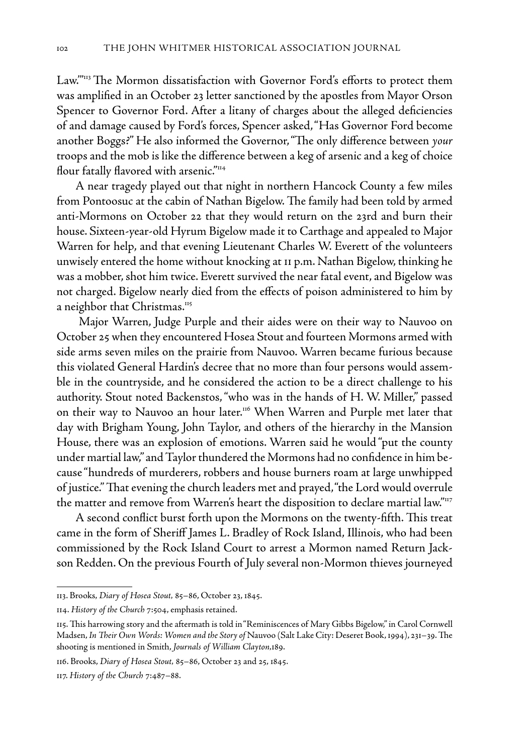Law."<sup>113</sup> The Mormon dissatisfaction with Governor Ford's efforts to protect them was amplified in an October 23 letter sanctioned by the apostles from Mayor Orson Spencer to Governor Ford. After a litany of charges about the alleged deficiencies of and damage caused by Ford's forces, Spencer asked, "Has Governor Ford become another Boggs?" He also informed the Governor, "The only difference between *your*  troops and the mob is like the difference between a keg of arsenic and a keg of choice flour fatally flavored with arsenic."<sup>114</sup>

A near tragedy played out that night in northern Hancock County a few miles from Pontoosuc at the cabin of Nathan Bigelow. The family had been told by armed anti-Mormons on October 22 that they would return on the 23rd and burn their house. Sixteen-year-old Hyrum Bigelow made it to Carthage and appealed to Major Warren for help, and that evening Lieutenant Charles W. Everett of the volunteers unwisely entered the home without knocking at 11 p.m. Nathan Bigelow, thinking he was a mobber, shot him twice. Everett survived the near fatal event, and Bigelow was not charged. Bigelow nearly died from the effects of poison administered to him by a neighbor that Christmas.<sup>115</sup>

 Major Warren, Judge Purple and their aides were on their way to Nauvoo on October 25 when they encountered Hosea Stout and fourteen Mormons armed with side arms seven miles on the prairie from Nauvoo. Warren became furious because this violated General Hardin's decree that no more than four persons would assemble in the countryside, and he considered the action to be a direct challenge to his authority. Stout noted Backenstos, "who was in the hands of H. W. Miller," passed on their way to Nauvoo an hour later.<sup>116</sup> When Warren and Purple met later that day with Brigham Young, John Taylor, and others of the hierarchy in the Mansion House, there was an explosion of emotions. Warren said he would "put the county under martial law," and Taylor thundered the Mormons had no confidence in him because "hundreds of murderers, robbers and house burners roam at large unwhipped of justice." That evening the church leaders met and prayed, "the Lord would overrule the matter and remove from Warren's heart the disposition to declare martial law."<sup>117</sup>

A second conflict burst forth upon the Mormons on the twenty-fifth. This treat came in the form of Sheriff James L. Bradley of Rock Island, Illinois, who had been commissioned by the Rock Island Court to arrest a Mormon named Return Jackson Redden. On the previous Fourth of July several non-Mormon thieves journeyed

<sup>113.</sup> Brooks, *Diary of Hosea Stout,* 85–86, October 23, 1845.

<sup>114.</sup> *History of the Church* 7:504, emphasis retained.

<sup>115.</sup> This harrowing story and the aftermath is told in "Reminiscences of Mary Gibbs Bigelow," in Carol Cornwell Madsen, *In Their Own Words: Women and the Story of* Nauvoo (Salt Lake City: Deseret Book, 1994), 231–39. The shooting is mentioned in Smith, *Journals of William Clayton,*189.

<sup>116.</sup> Brooks, *Diary of Hosea Stout,* 85–86, October 23 and 25, 1845.

<sup>117.</sup> *History of the Church* 7:487–88.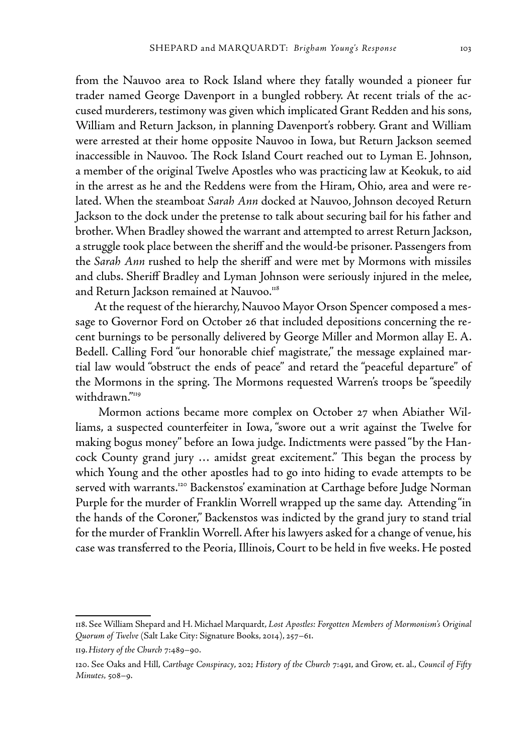from the Nauvoo area to Rock Island where they fatally wounded a pioneer fur trader named George Davenport in a bungled robbery. At recent trials of the accused murderers, testimony was given which implicated Grant Redden and his sons, William and Return Jackson, in planning Davenport's robbery. Grant and William were arrested at their home opposite Nauvoo in Iowa, but Return Jackson seemed inaccessible in Nauvoo. The Rock Island Court reached out to Lyman E. Johnson, a member of the original Twelve Apostles who was practicing law at Keokuk, to aid in the arrest as he and the Reddens were from the Hiram, Ohio, area and were related. When the steamboat *Sarah Ann* docked at Nauvoo, Johnson decoyed Return Jackson to the dock under the pretense to talk about securing bail for his father and brother. When Bradley showed the warrant and attempted to arrest Return Jackson, a struggle took place between the sheriff and the would-be prisoner. Passengers from the *Sarah Ann* rushed to help the sheriff and were met by Mormons with missiles and clubs. Sheriff Bradley and Lyman Johnson were seriously injured in the melee, and Return Jackson remained at Nauvoo.<sup>118</sup>

At the request of the hierarchy, Nauvoo Mayor Orson Spencer composed a message to Governor Ford on October 26 that included depositions concerning the recent burnings to be personally delivered by George Miller and Mormon allay E. A. Bedell. Calling Ford "our honorable chief magistrate," the message explained martial law would "obstruct the ends of peace" and retard the "peaceful departure" of the Mormons in the spring. The Mormons requested Warren's troops be "speedily withdrawn."119

 Mormon actions became more complex on October 27 when Abiather Williams, a suspected counterfeiter in Iowa, "swore out a writ against the Twelve for making bogus money" before an Iowa judge. Indictments were passed "by the Hancock County grand jury … amidst great excitement." This began the process by which Young and the other apostles had to go into hiding to evade attempts to be served with warrants.<sup>120</sup> Backenstos' examination at Carthage before Judge Norman Purple for the murder of Franklin Worrell wrapped up the same day. Attending "in the hands of the Coroner," Backenstos was indicted by the grand jury to stand trial for the murder of Franklin Worrell. After his lawyers asked for a change of venue, his case was transferred to the Peoria, Illinois, Court to be held in five weeks. He posted

<sup>118.</sup> See William Shepard and H. Michael Marquardt, *Lost Apostles: Forgotten Members of Mormonism's Original Quorum of Twelve* (Salt Lake City: Signature Books, 2014), 257–61.

<sup>119.</sup>*History of the Church* 7:489–90.

<sup>120.</sup> See Oaks and Hill, *Carthage Conspiracy*, 202; *History of the Church* 7:491, and Grow, et. al., *Council of Fifty Minutes,* 508–9.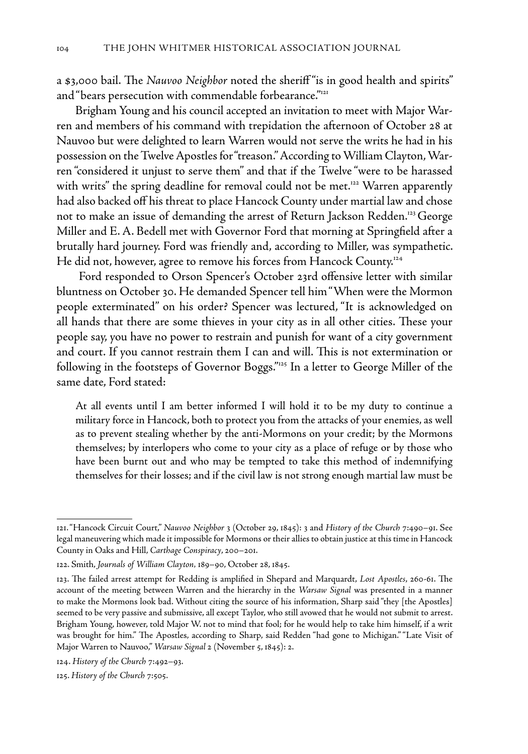a \$3,000 bail. The *Nauvoo Neighbor* noted the sheriff "is in good health and spirits" and "bears persecution with commendable forbearance."<sup>121</sup>

Brigham Young and his council accepted an invitation to meet with Major Warren and members of his command with trepidation the afternoon of October 28 at Nauvoo but were delighted to learn Warren would not serve the writs he had in his possession on the Twelve Apostles for "treason." According to William Clayton, Warren "considered it unjust to serve them" and that if the Twelve "were to be harassed with writs" the spring deadline for removal could not be met.<sup>122</sup> Warren apparently had also backed off his threat to place Hancock County under martial law and chose not to make an issue of demanding the arrest of Return Jackson Redden.<sup>123</sup> George Miller and E. A. Bedell met with Governor Ford that morning at Springfield after a brutally hard journey. Ford was friendly and, according to Miller, was sympathetic. He did not, however, agree to remove his forces from Hancock County.<sup>124</sup>

 Ford responded to Orson Spencer's October 23rd offensive letter with similar bluntness on October 30. He demanded Spencer tell him "When were the Mormon people exterminated" on his order? Spencer was lectured, "It is acknowledged on all hands that there are some thieves in your city as in all other cities. These your people say, you have no power to restrain and punish for want of a city government and court. If you cannot restrain them I can and will. This is not extermination or following in the footsteps of Governor Boggs."125 In a letter to George Miller of the same date, Ford stated:

At all events until I am better informed I will hold it to be my duty to continue a military force in Hancock, both to protect you from the attacks of your enemies, as well as to prevent stealing whether by the anti-Mormons on your credit; by the Mormons themselves; by interlopers who come to your city as a place of refuge or by those who have been burnt out and who may be tempted to take this method of indemnifying themselves for their losses; and if the civil law is not strong enough martial law must be

<sup>121. &</sup>quot;Hancock Circuit Court," *Nauvoo Neighbor* 3 (October 29, 1845): 3 and *History of the Church* 7:490–91. See legal maneuvering which made it impossible for Mormons or their allies to obtain justice at this time in Hancock County in Oaks and Hill, *Carthage Conspiracy*, 200–201.

<sup>122.</sup> Smith, *Journals of William Clayton,* 189–90, October 28, 1845.

<sup>123.</sup> The failed arrest attempt for Redding is amplified in Shepard and Marquardt, *Lost Apostles*, 260-61. The account of the meeting between Warren and the hierarchy in the *Warsaw Signal* was presented in a manner to make the Mormons look bad. Without citing the source of his information, Sharp said "they [the Apostles] seemed to be very passive and submissive, all except Taylor, who still avowed that he would not submit to arrest. Brigham Young, however, told Major W. not to mind that fool; for he would help to take him himself, if a writ was brought for him." The Apostles, according to Sharp, said Redden "had gone to Michigan." "Late Visit of Major Warren to Nauvoo," *Warsaw Signal* 2 (November 5, 1845): 2.

<sup>124.</sup> *History of the Church* 7:492–93.

<sup>125.</sup> *History of the Church* 7:505.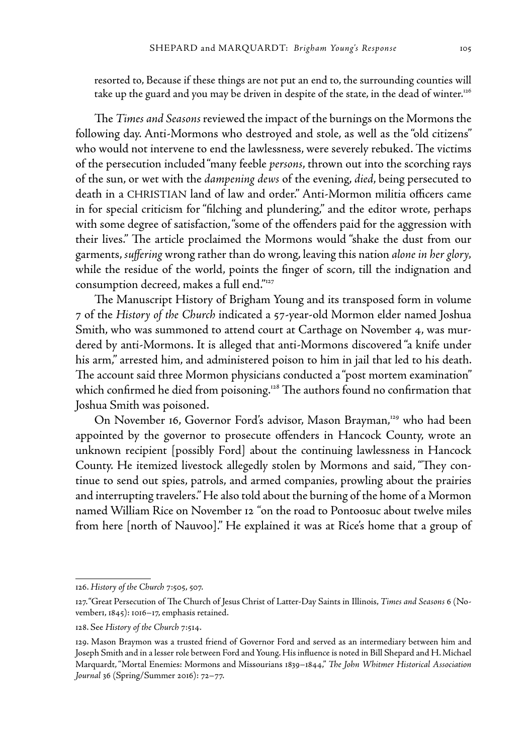resorted to, Because if these things are not put an end to, the surrounding counties will take up the guard and you may be driven in despite of the state, in the dead of winter.<sup>126</sup>

The *Times and Seasons* reviewed the impact of the burnings on the Mormons the following day. Anti-Mormons who destroyed and stole, as well as the "old citizens" who would not intervene to end the lawlessness, were severely rebuked. The victims of the persecution included "many feeble *persons*, thrown out into the scorching rays of the sun, or wet with the *dampening dews* of the evening, *died*, being persecuted to death in a CHRISTIAN land of law and order." Anti-Mormon militia officers came in for special criticism for "filching and plundering," and the editor wrote, perhaps with some degree of satisfaction, "some of the offenders paid for the aggression with their lives." The article proclaimed the Mormons would "shake the dust from our garments, *suffering* wrong rather than do wrong, leaving this nation *alone in her glory,* while the residue of the world, points the finger of scorn, till the indignation and consumption decreed, makes a full end."127

The Manuscript History of Brigham Young and its transposed form in volume 7 of the *History of the Church* indicated a 57-year-old Mormon elder named Joshua Smith, who was summoned to attend court at Carthage on November 4, was murdered by anti-Mormons. It is alleged that anti-Mormons discovered "a knife under his arm," arrested him, and administered poison to him in jail that led to his death. The account said three Mormon physicians conducted a "post mortem examination" which confirmed he died from poisoning.<sup>128</sup> The authors found no confirmation that Joshua Smith was poisoned.

On November 16, Governor Ford's advisor, Mason Brayman,<sup>129</sup> who had been appointed by the governor to prosecute offenders in Hancock County, wrote an unknown recipient [possibly Ford] about the continuing lawlessness in Hancock County. He itemized livestock allegedly stolen by Mormons and said, "They continue to send out spies, patrols, and armed companies, prowling about the prairies and interrupting travelers." He also told about the burning of the home of a Mormon named William Rice on November 12 *"*on the road to Pontoosuc about twelve miles from here [north of Nauvoo]." He explained it was at Rice's home that a group of

<sup>126.</sup> *History of the Church* 7:505, 507.

<sup>127. &</sup>quot;Great Persecution of The Church of Jesus Christ of Latter-Day Saints in Illinois, *Times and Seasons* 6 (November1, 1845): 1016–17, emphasis retained.

<sup>128.</sup> See *History of the Church* 7:514.

<sup>129.</sup> Mason Braymon was a trusted friend of Governor Ford and served as an intermediary between him and Joseph Smith and in a lesser role between Ford and Young. His influence is noted in Bill Shepard and H. Michael Marquardt, "Mortal Enemies: Mormons and Missourians 1839–1844," *The John Whitmer Historical Association Journal* 36 (Spring/Summer 2016): 72–77.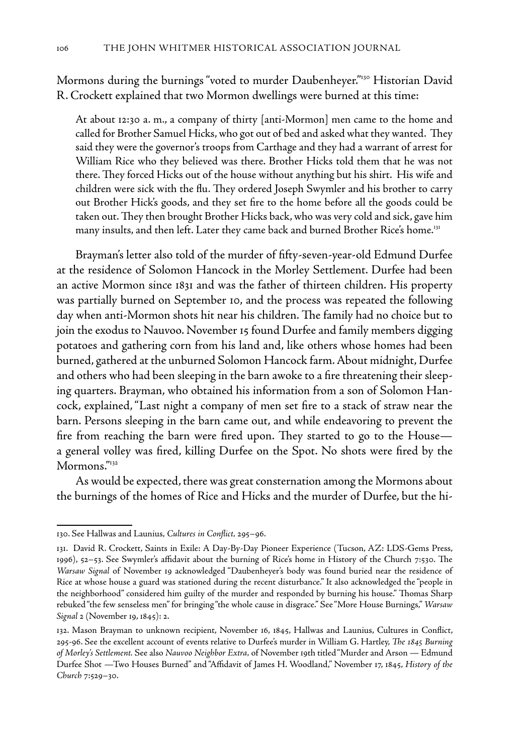Mormons during the burnings "voted to murder Daubenheyer."<sup>130</sup> Historian David R. Crockett explained that two Mormon dwellings were burned at this time:

At about 12:30 a. m., a company of thirty [anti-Mormon] men came to the home and called for Brother Samuel Hicks, who got out of bed and asked what they wanted. They said they were the governor's troops from Carthage and they had a warrant of arrest for William Rice who they believed was there. Brother Hicks told them that he was not there. They forced Hicks out of the house without anything but his shirt. His wife and children were sick with the flu. They ordered Joseph Swymler and his brother to carry out Brother Hick's goods, and they set fire to the home before all the goods could be taken out. They then brought Brother Hicks back, who was very cold and sick, gave him many insults, and then left. Later they came back and burned Brother Rice's home.<sup>131</sup>

Brayman's letter also told of the murder of fifty-seven-year-old Edmund Durfee at the residence of Solomon Hancock in the Morley Settlement. Durfee had been an active Mormon since 1831 and was the father of thirteen children. His property was partially burned on September 10, and the process was repeated the following day when anti-Mormon shots hit near his children. The family had no choice but to join the exodus to Nauvoo. November 15 found Durfee and family members digging potatoes and gathering corn from his land and, like others whose homes had been burned, gathered at the unburned Solomon Hancock farm. About midnight, Durfee and others who had been sleeping in the barn awoke to a fire threatening their sleeping quarters. Brayman, who obtained his information from a son of Solomon Hancock, explained, "Last night a company of men set fire to a stack of straw near the barn. Persons sleeping in the barn came out, and while endeavoring to prevent the fire from reaching the barn were fired upon. They started to go to the House a general volley was fired, killing Durfee on the Spot. No shots were fired by the Mormons."<sup>132</sup>

As would be expected, there was great consternation among the Mormons about the burnings of the homes of Rice and Hicks and the murder of Durfee, but the hi-

<sup>130.</sup> See Hallwas and Launius, *Cultures in Conflict,* 295–96.

<sup>131.</sup> David R. Crockett, Saints in Exile: A Day-By-Day Pioneer Experience (Tucson, AZ: LDS-Gems Press, 1996), 52–53. See Swymler's affidavit about the burning of Rice's home in History of the Church 7:530. The *Warsaw Signal* of November 19 acknowledged "Daubenheyer's body was found buried near the residence of Rice at whose house a guard was stationed during the recent disturbance." It also acknowledged the "people in the neighborhood" considered him guilty of the murder and responded by burning his house." Thomas Sharp rebuked "the few senseless men" for bringing "the whole cause in disgrace." See "More House Burnings," *Warsaw Signal* 2 (November 19, 1845): 2.

<sup>132.</sup> Mason Brayman to unknown recipient, November 16, 1845, Hallwas and Launius, Cultures in Conflict, 295-96. See the excellent account of events relative to Durfee's murder in William G. Hartley, *The 1845 Burning of Morley's Settlement.* See also *Nauvoo Neighbor Extra,* of November 19th titled "Murder and Arson — Edmund Durfee Shot —Two Houses Burned" and "Affidavit of James H. Woodland," November 17, 1845, *History of the Church* 7:529–30.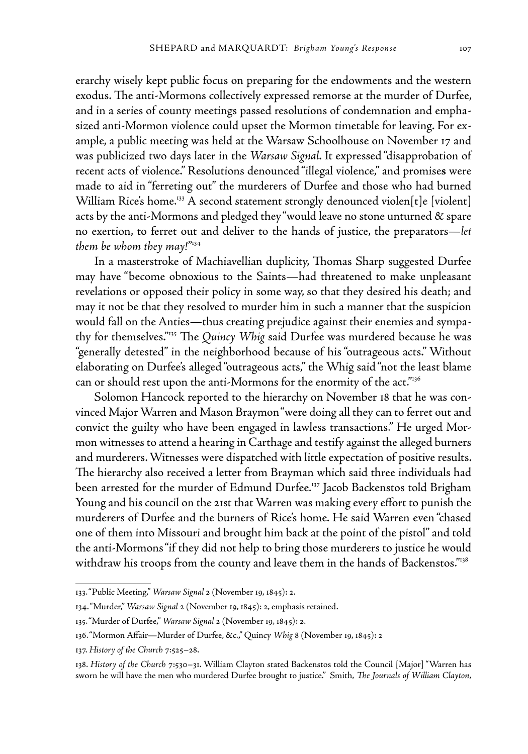erarchy wisely kept public focus on preparing for the endowments and the western exodus. The anti-Mormons collectively expressed remorse at the murder of Durfee, and in a series of county meetings passed resolutions of condemnation and emphasized anti-Mormon violence could upset the Mormon timetable for leaving. For example, a public meeting was held at the Warsaw Schoolhouse on November 17 and was publicized two days later in the *Warsaw Signal*. It expressed "disapprobation of recent acts of violence." Resolutions denounced "illegal violence," and promise**s** were made to aid in "ferreting out" the murderers of Durfee and those who had burned William Rice's home.<sup>133</sup> A second statement strongly denounced violen[t]e [violent] acts by the anti-Mormons and pledged they "would leave no stone unturned & spare no exertion, to ferret out and deliver to the hands of justice, the preparators—*let them be whom they may!"*134

In a masterstroke of Machiavellian duplicity, Thomas Sharp suggested Durfee may have "become obnoxious to the Saints—had threatened to make unpleasant revelations or opposed their policy in some way, so that they desired his death; and may it not be that they resolved to murder him in such a manner that the suspicion would fall on the Anties—thus creating prejudice against their enemies and sympathy for themselves."135 The *Quincy Whig* said Durfee was murdered because he was "generally detested" in the neighborhood because of his "outrageous acts." Without elaborating on Durfee's alleged "outrageous acts," the Whig said "not the least blame can or should rest upon the anti-Mormons for the enormity of the act."<sup>136</sup>

Solomon Hancock reported to the hierarchy on November 18 that he was convinced Major Warren and Mason Braymon "were doing all they can to ferret out and convict the guilty who have been engaged in lawless transactions." He urged Mormon witnesses to attend a hearing in Carthage and testify against the alleged burners and murderers. Witnesses were dispatched with little expectation of positive results. The hierarchy also received a letter from Brayman which said three individuals had been arrested for the murder of Edmund Durfee.137 Jacob Backenstos told Brigham Young and his council on the 21st that Warren was making every effort to punish the murderers of Durfee and the burners of Rice's home. He said Warren even "chased one of them into Missouri and brought him back at the point of the pistol" and told the anti-Mormons "if they did not help to bring those murderers to justice he would withdraw his troops from the county and leave them in the hands of Backenstos."<sup>138</sup>

<sup>133. &</sup>quot;Public Meeting," *Warsaw Signal* 2 (November 19, 1845): 2.

<sup>134. &</sup>quot;Murder," *Warsaw Signal* 2 (November 19, 1845): 2, emphasis retained.

<sup>135. &</sup>quot;Murder of Durfee," *Warsaw Signal* 2 (November 19, 1845): 2.

<sup>136. &</sup>quot;Mormon Affair—Murder of Durfee, &c.," Quincy *Whig* 8 (November 19, 1845): 2

<sup>137.</sup> *History of the Church* 7:525–28.

<sup>138.</sup> *History of the Church* 7:530–31. William Clayton stated Backenstos told the Council [Major] "Warren has sworn he will have the men who murdered Durfee brought to justice." Smith, *The Journals of William Clayton,*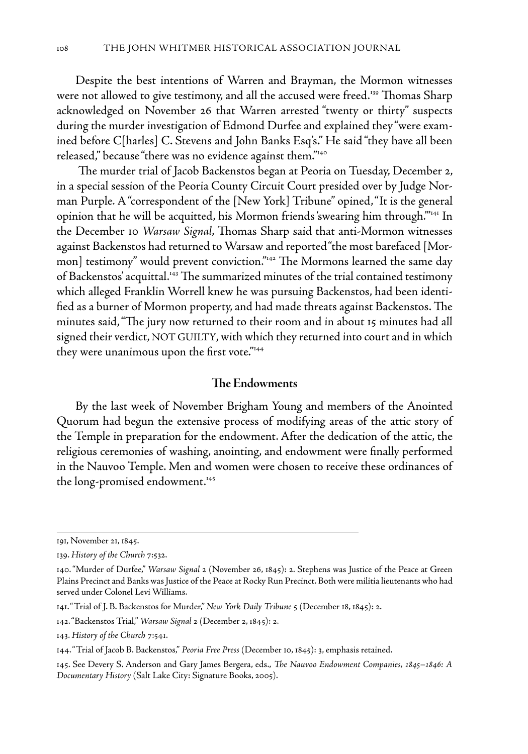Despite the best intentions of Warren and Brayman, the Mormon witnesses were not allowed to give testimony, and all the accused were freed.<sup>139</sup> Thomas Sharp acknowledged on November 26 that Warren arrested "twenty or thirty" suspects during the murder investigation of Edmond Durfee and explained they "were examined before C[harles] C. Stevens and John Banks Esq's." He said "they have all been released," because "there was no evidence against them."<sup>140</sup>

 The murder trial of Jacob Backenstos began at Peoria on Tuesday, December 2, in a special session of the Peoria County Circuit Court presided over by Judge Norman Purple. A "correspondent of the [New York] Tribune" opined, "It is the general opinion that he will be acquitted, his Mormon friends 'swearing him through.'"141 In the December 10 *Warsaw Signal*, Thomas Sharp said that anti-Mormon witnesses against Backenstos had returned to Warsaw and reported "the most barefaced [Mormon] testimony" would prevent conviction."142 The Mormons learned the same day of Backenstos' acquittal.<sup>143</sup> The summarized minutes of the trial contained testimony which alleged Franklin Worrell knew he was pursuing Backenstos, had been identified as a burner of Mormon property, and had made threats against Backenstos. The minutes said, "The jury now returned to their room and in about 15 minutes had all signed their verdict, NOT GUILTY, with which they returned into court and in which they were unanimous upon the first vote."144

#### **The Endowments**

By the last week of November Brigham Young and members of the Anointed Quorum had begun the extensive process of modifying areas of the attic story of the Temple in preparation for the endowment. After the dedication of the attic, the religious ceremonies of washing, anointing, and endowment were finally performed in the Nauvoo Temple. Men and women were chosen to receive these ordinances of the long-promised endowment.<sup>145</sup>

<sup>191,</sup> November 21, 1845.

<sup>139.</sup> *History of the Church* 7:532.

<sup>140. &</sup>quot;Murder of Durfee," *Warsaw Signal* 2 (November 26, 1845): 2. Stephens was Justice of the Peace at Green Plains Precinct and Banks was Justice of the Peace at Rocky Run Precinct. Both were militia lieutenants who had served under Colonel Levi Williams.

<sup>141. &</sup>quot;Trial of J. B. Backenstos for Murder," *New York Daily Tribune* 5 (December 18, 1845): 2.

<sup>142. &</sup>quot;Backenstos Trial," *Warsaw Signal* 2 (December 2, 1845): 2.

<sup>143.</sup> *History of the Church* 7:541.

<sup>144. &</sup>quot;Trial of Jacob B. Backenstos," *Peoria Free Press* (December 10, 1845): 3, emphasis retained.

<sup>145.</sup> See Devery S. Anderson and Gary James Bergera, eds., *The Nauvoo Endowment Companies, 1845–1846: A Documentary History* (Salt Lake City: Signature Books, 2005).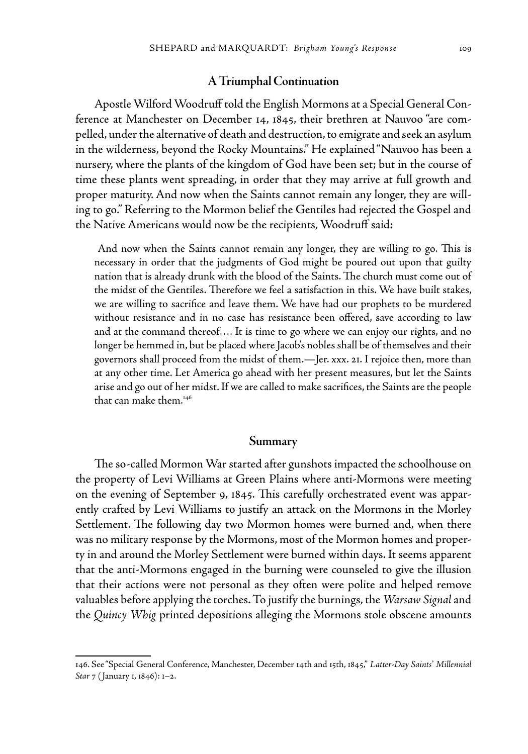## **A Triumphal Continuation**

Apostle Wilford Woodruff told the English Mormons at a Special General Conference at Manchester on December 14, 1845, their brethren at Nauvoo "are compelled, under the alternative of death and destruction, to emigrate and seek an asylum in the wilderness, beyond the Rocky Mountains." He explained "Nauvoo has been a nursery, where the plants of the kingdom of God have been set; but in the course of time these plants went spreading, in order that they may arrive at full growth and proper maturity. And now when the Saints cannot remain any longer, they are willing to go." Referring to the Mormon belief the Gentiles had rejected the Gospel and the Native Americans would now be the recipients, Woodruff said:

 And now when the Saints cannot remain any longer, they are willing to go. This is necessary in order that the judgments of God might be poured out upon that guilty nation that is already drunk with the blood of the Saints. The church must come out of the midst of the Gentiles. Therefore we feel a satisfaction in this. We have built stakes, we are willing to sacrifice and leave them. We have had our prophets to be murdered without resistance and in no case has resistance been offered, save according to law and at the command thereof…. It is time to go where we can enjoy our rights, and no longer be hemmed in, but be placed where Jacob's nobles shall be of themselves and their governors shall proceed from the midst of them.—Jer. xxx. 21. I rejoice then, more than at any other time. Let America go ahead with her present measures, but let the Saints arise and go out of her midst. If we are called to make sacrifices, the Saints are the people that can make them.<sup>146</sup>

## **Summary**

The so-called Mormon War started after gunshots impacted the schoolhouse on the property of Levi Williams at Green Plains where anti-Mormons were meeting on the evening of September 9, 1845. This carefully orchestrated event was apparently crafted by Levi Williams to justify an attack on the Mormons in the Morley Settlement. The following day two Mormon homes were burned and, when there was no military response by the Mormons, most of the Mormon homes and property in and around the Morley Settlement were burned within days. It seems apparent that the anti-Mormons engaged in the burning were counseled to give the illusion that their actions were not personal as they often were polite and helped remove valuables before applying the torches. To justify the burnings, the *Warsaw Signal* and the *Quincy Whig* printed depositions alleging the Mormons stole obscene amounts

<sup>146.</sup> See "Special General Conference, Manchester, December 14th and 15th, 1845," *Latter-Day Saints' Millennial Star* 7 ( January 1, 1846): 1–2.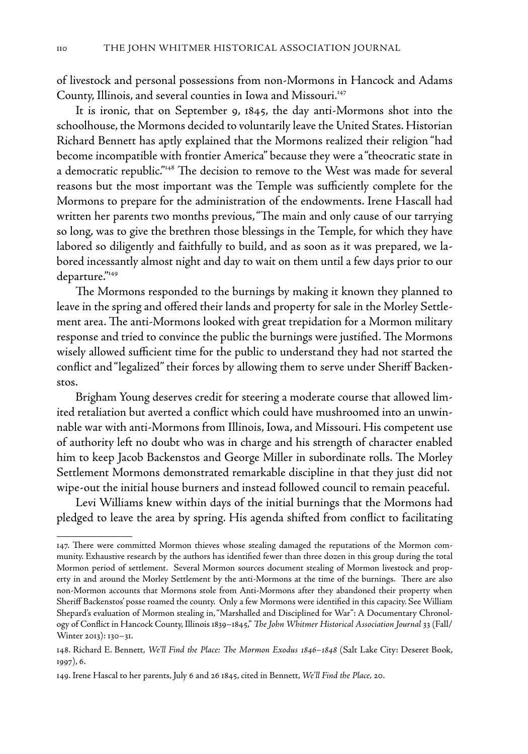of livestock and personal possessions from non-Mormons in Hancock and Adams County, Illinois, and several counties in Iowa and Missouri.<sup>147</sup>

It is ironic, that on September 9, 1845, the day anti-Mormons shot into the schoolhouse, the Mormons decided to voluntarily leave the United States. Historian Richard Bennett has aptly explained that the Mormons realized their religion "had become incompatible with frontier America" because they were a "theocratic state in a democratic republic."148 The decision to remove to the West was made for several reasons but the most important was the Temple was sufficiently complete for the Mormons to prepare for the administration of the endowments. Irene Hascall had written her parents two months previous, "The main and only cause of our tarrying so long, was to give the brethren those blessings in the Temple, for which they have labored so diligently and faithfully to build, and as soon as it was prepared, we labored incessantly almost night and day to wait on them until a few days prior to our departure."149

The Mormons responded to the burnings by making it known they planned to leave in the spring and offered their lands and property for sale in the Morley Settlement area. The anti-Mormons looked with great trepidation for a Mormon military response and tried to convince the public the burnings were justified. The Mormons wisely allowed sufficient time for the public to understand they had not started the conflict and "legalized" their forces by allowing them to serve under Sheriff Backenstos.

Brigham Young deserves credit for steering a moderate course that allowed limited retaliation but averted a conflict which could have mushroomed into an unwinnable war with anti-Mormons from Illinois, Iowa, and Missouri. His competent use of authority left no doubt who was in charge and his strength of character enabled him to keep Jacob Backenstos and George Miller in subordinate rolls. The Morley Settlement Mormons demonstrated remarkable discipline in that they just did not wipe-out the initial house burners and instead followed council to remain peaceful.

Levi Williams knew within days of the initial burnings that the Mormons had pledged to leave the area by spring. His agenda shifted from conflict to facilitating

<sup>147.</sup> There were committed Mormon thieves whose stealing damaged the reputations of the Mormon community. Exhaustive research by the authors has identified fewer than three dozen in this group during the total Mormon period of settlement. Several Mormon sources document stealing of Mormon livestock and property in and around the Morley Settlement by the anti-Mormons at the time of the burnings. There are also non-Mormon accounts that Mormons stole from Anti-Mormons after they abandoned their property when Sheriff Backenstos' posse roamed the county. Only a few Mormons were identified in this capacity. See William Shepard's evaluation of Mormon stealing in, "Marshalled and Disciplined for War": A Documentary Chronology of Conflict in Hancock County, Illinois 1839–1845," *The John Whitmer Historical Association Journal* 33 (Fall/ Winter 2013): 130–31.

<sup>148.</sup> Richard E. Bennett, *We'll Find the Place: The Mormon Exodus 1846–1848* (Salt Lake City: Deseret Book, 1997), 6.

<sup>149.</sup> Irene Hascal to her parents, July 6 and 26 1845, cited in Bennett, *We'll Find the Place,* 20.